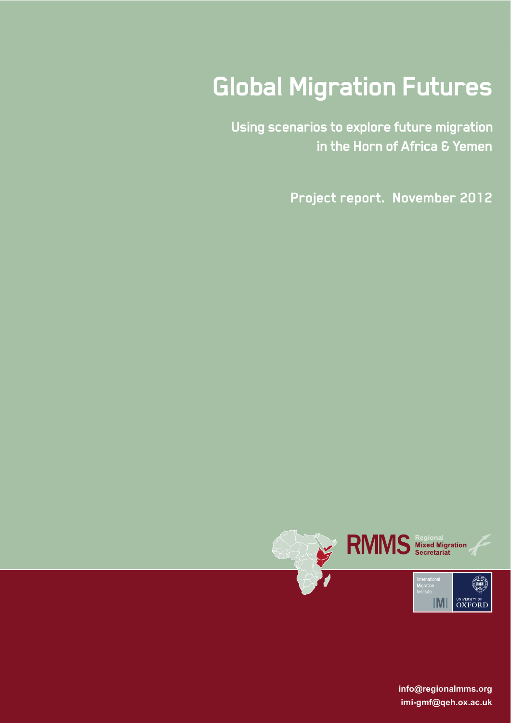# **Global Migration Futures**

**Using scenarios to explore future migration in the Horn of Africa & Yemen**

**Project report. November 2012**



Using scenarios to explore future migration in the Horn of Africa and Yemen | 1 **info@regionalmms.org imi-gmf@qeh.ox.ac.uk**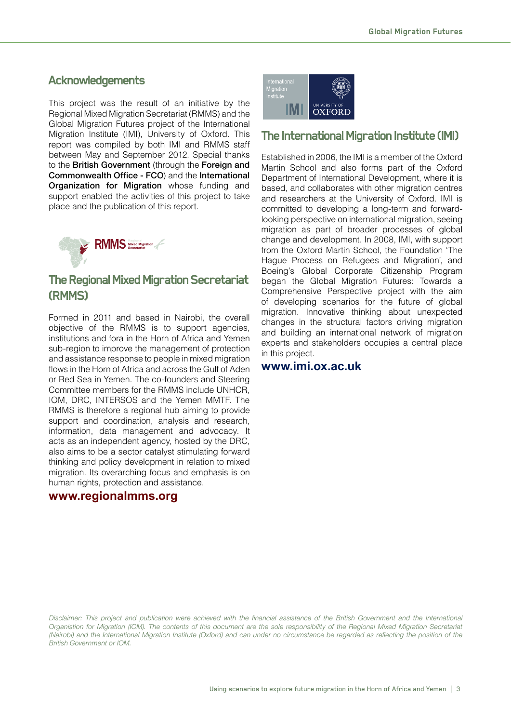## **Acknowledgements**

This project was the result of an initiative by the Regional Mixed Migration Secretariat (RMMS) and the Global Migration Futures project of the International Migration Institute (IMI), University of Oxford. This report was compiled by both IMI and RMMS staff between May and September 2012. Special thanks to the British Government (through the Foreign and **Commonwealth Office - FCO) and the International** Organization for Migration whose funding and support enabled the activities of this project to take place and the publication of this report.



# **The Regional Mixed Migration Secretariat (RMMS)**

Formed in 2011 and based in Nairobi, the overall objective of the RMMS is to support agencies, institutions and fora in the Horn of Africa and Yemen sub-region to improve the management of protection and assistance response to people in mixed migration flows in the Horn of Africa and across the Gulf of Aden or Red Sea in Yemen. The co-founders and Steering Committee members for the RMMS include UNHCR, IOM, DRC, INTERSOS and the Yemen MMTF. The RMMS is therefore a regional hub aiming to provide support and coordination, analysis and research, information, data management and advocacy. It acts as an independent agency, hosted by the DRC, also aims to be a sector catalyst stimulating forward thinking and policy development in relation to mixed migration. Its overarching focus and emphasis is on human rights, protection and assistance.

#### **www.regionalmms.org**

| International<br>Migration<br>Institute |                                |
|-----------------------------------------|--------------------------------|
|                                         | <b>UNIVERSITY OF</b><br>OXFORD |

## **The International Migration Institute (IMI)**

Established in 2006, the IMI is a member of the Oxford Martin School and also forms part of the Oxford Department of International Development, where it is based, and collaborates with other migration centres and researchers at the University of Oxford. IMI is committed to developing a long-term and forwardlooking perspective on international migration, seeing migration as part of broader processes of global change and development. In 2008, IMI, with support from the Oxford Martin School, the Foundation 'The Hague Process on Refugees and Migration', and Boeing's Global Corporate Citizenship Program began the Global Migration Futures: Towards a Comprehensive Perspective project with the aim of developing scenarios for the future of global migration. Innovative thinking about unexpected changes in the structural factors driving migration and building an international network of migration experts and stakeholders occupies a central place in this project.

## **www.imi.ox.ac.uk**

Disclaimer: This project and publication were achieved with the financial assistance of the British Government and the International Organistion for Migration (IOM). The contents of this document are the sole responsibility of the Regional Mixed Migration Secretariat *(Nairobi)* and the International Migration Institute (Oxford) and can under no circumstance be regarded as reflecting the position of the **British Government or IOM.**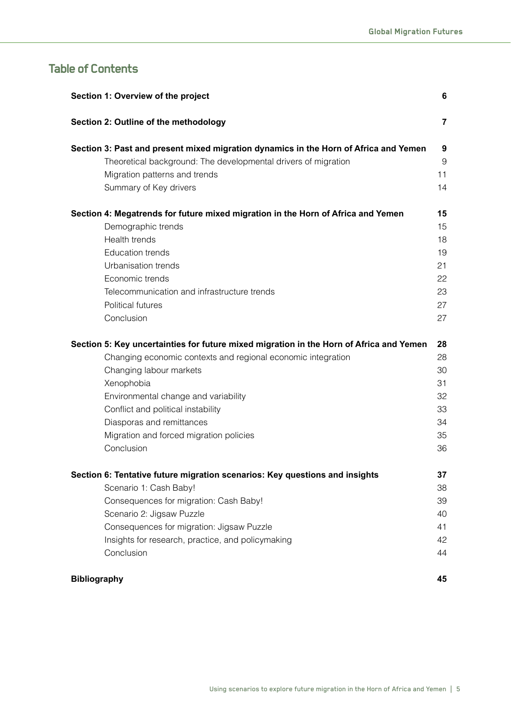# **Table of Contents**

| Section 1: Overview of the project<br>6                                                 |                |  |  |
|-----------------------------------------------------------------------------------------|----------------|--|--|
| Section 2: Outline of the methodology                                                   | $\overline{7}$ |  |  |
| Section 3: Past and present mixed migration dynamics in the Horn of Africa and Yemen    | 9              |  |  |
| Theoretical background: The developmental drivers of migration                          | 9              |  |  |
| Migration patterns and trends                                                           | 11             |  |  |
| Summary of Key drivers                                                                  | 14             |  |  |
| Section 4: Megatrends for future mixed migration in the Horn of Africa and Yemen        | 15             |  |  |
| Demographic trends                                                                      | 15             |  |  |
| Health trends                                                                           | 18             |  |  |
| <b>Education trends</b>                                                                 | 19             |  |  |
| Urbanisation trends                                                                     | 21             |  |  |
| Economic trends                                                                         | 22             |  |  |
| Telecommunication and infrastructure trends                                             | 23             |  |  |
| Political futures                                                                       | 27             |  |  |
| Conclusion                                                                              | 27             |  |  |
| Section 5: Key uncertainties for future mixed migration in the Horn of Africa and Yemen | 28             |  |  |
| Changing economic contexts and regional economic integration                            | 28             |  |  |
| Changing labour markets                                                                 | 30             |  |  |
| Xenophobia                                                                              | 31             |  |  |
| Environmental change and variability                                                    | 32             |  |  |
| Conflict and political instability                                                      | 33             |  |  |
| Diasporas and remittances                                                               | 34             |  |  |
| Migration and forced migration policies                                                 | 35             |  |  |
| Conclusion                                                                              | 36             |  |  |
| Section 6: Tentative future migration scenarios: Key questions and insights             | 37             |  |  |
| Scenario 1: Cash Baby!                                                                  | 38             |  |  |
| Consequences for migration: Cash Baby!                                                  | 39             |  |  |
| Scenario 2: Jigsaw Puzzle                                                               | 40             |  |  |
| Consequences for migration: Jigsaw Puzzle                                               | 41             |  |  |
| Insights for research, practice, and policymaking                                       | 42             |  |  |
| Conclusion                                                                              | 44             |  |  |
| <b>Bibliography</b>                                                                     | 45             |  |  |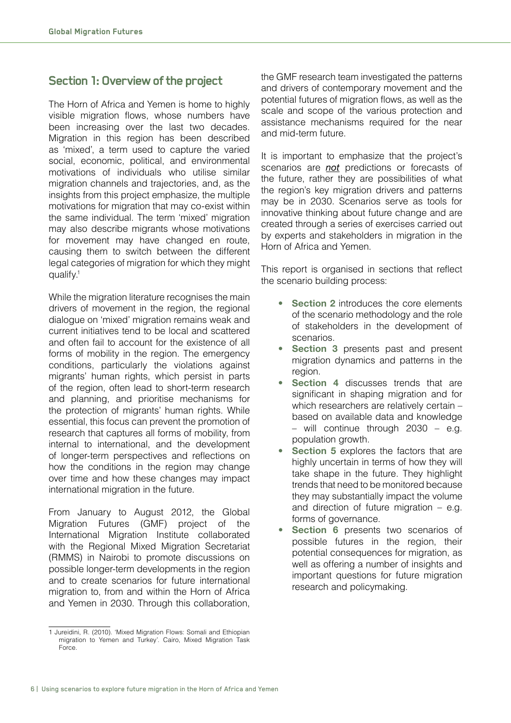## **Section 1: Overview of the project**

The Horn of Africa and Yemen is home to highly visible migration flows, whose numbers have been increasing over the last two decades. Migration in this region has been described as 'mixed', a term used to capture the varied social, economic, political, and environmental motivations of individuals who utilise similar migration channels and trajectories, and, as the insights from this project emphasize, the multiple motivations for migration that may co-exist within the same individual. The term 'mixed' migration may also describe migrants whose motivations for movement may have changed en route, causing them to switch between the different legal categories of migration for which they might qualify.<sup>1</sup>

While the migration literature recognises the main drivers of movement in the region, the regional dialogue on 'mixed' migration remains weak and current initiatives tend to be local and scattered and often fail to account for the existence of all forms of mobility in the region. The emergency conditions, particularly the violations against migrants' human rights, which persist in parts of the region, often lead to short-term research and planning, and prioritise mechanisms for the protection of migrants' human rights. While essential, this focus can prevent the promotion of research that captures all forms of mobility, from internal to international, and the development of longer-term perspectives and reflections on how the conditions in the region may change over time and how these changes may impact international migration in the future.

From January to August 2012, the Global Migration Futures (GMF) project of the International Migration Institute collaborated with the Regional Mixed Migration Secretariat (RMMS) in Nairobi to promote discussions on possible longer-term developments in the region and to create scenarios for future international migration to, from and within the Horn of Africa and Yemen in 2030. Through this collaboration,

the GMF research team investigated the patterns and drivers of contemporary movement and the potential futures of migration flows, as well as the scale and scope of the various protection and assistance mechanisms required for the near and mid-term future.

It is important to emphasize that the project's scenarios are *not* predictions or forecasts of the future, rather they are possibilities of what the region's key migration drivers and patterns may be in 2030. Scenarios serve as tools for innovative thinking about future change and are created through a series of exercises carried out by experts and stakeholders in migration in the Horn of Africa and Yemen.

This report is organised in sections that reflect the scenario building process:

- **Section 2** introduces the core elements of the scenario methodology and the role of stakeholders in the development of scenarios.
- **Section 3** presents past and present migration dynamics and patterns in the region.
- **Section 4** discusses trends that are significant in shaping migration and for which researchers are relatively certain – based on available data and knowledge – will continue through 2030 – e.g. population growth.
- **Section 5** explores the factors that are highly uncertain in terms of how they will take shape in the future. They highlight trends that need to be monitored because they may substantially impact the volume and direction of future migration  $-$  e.g. forms of governance.
- Section 6 presents two scenarios of possible futures in the region, their potential consequences for migration, as well as offering a number of insights and important questions for future migration research and policymaking.

<sup>1</sup> Jureidini, R. (2010). 'Mixed Migration Flows: Somali and Ethiopian migration to Yemen and Turkey'. Cairo, Mixed Migration Task Force.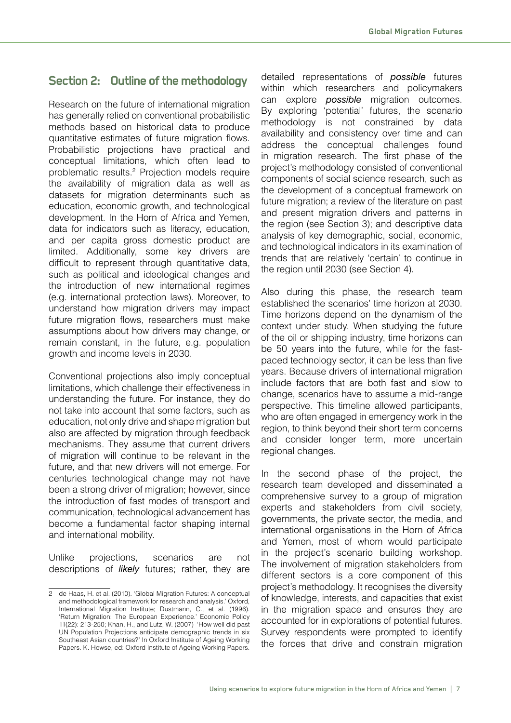# **Section 2: Outline of the methodology**

Research on the future of international migration has generally relied on conventional probabilistic methods based on historical data to produce quantitative estimates of future migration flows. Probabilistic projections have practical and conceptual limitations, which often lead to problematic results.<sup>2</sup> Projection models require the availability of migration data as well as datasets for migration determinants such as education, economic growth, and technological development. In the Horn of Africa and Yemen, data for indicators such as literacy, education, and per capita gross domestic product are limited. Additionally, some key drivers are difficult to represent through quantitative data, such as political and ideological changes and the introduction of new international regimes (e.g. international protection laws). Moreover, to understand how migration drivers may impact future migration flows, researchers must make assumptions about how drivers may change, or remain constant, in the future, e.g. population growth and income levels in 2030.

Conventional projections also imply conceptual limitations, which challenge their effectiveness in understanding the future. For instance, they do not take into account that some factors, such as education, not only drive and shape migration but also are affected by migration through feedback mechanisms. They assume that current drivers of migration will continue to be relevant in the future, and that new drivers will not emerge. For centuries technological change may not have been a strong driver of migration; however, since the introduction of fast modes of transport and communication, technological advancement has become a fundamental factor shaping internal and international mobility.

Unlike projections, scenarios are not descriptions of *likely* futures; rather, they are

detailed representations of *possible* futures within which researchers and policymakers can explore *possible* migration outcomes. By exploring 'potential' futures, the scenario methodology is not constrained by data availability and consistency over time and can address the conceptual challenges found in migration research. The first phase of the project's methodology consisted of conventional components of social science research, such as the development of a conceptual framework on future migration; a review of the literature on past and present migration drivers and patterns in the region (see Section 3); and descriptive data analysis of key demographic, social, economic, and technological indicators in its examination of trends that are relatively 'certain' to continue in the region until 2030 (see Section 4).

Also during this phase, the research team established the scenarios' time horizon at 2030. Time horizons depend on the dynamism of the context under study. When studying the future of the oil or shipping industry, time horizons can be 50 years into the future, while for the fastpaced technology sector, it can be less than five years. Because drivers of international migration include factors that are both fast and slow to change, scenarios have to assume a mid-range perspective. This timeline allowed participants, who are often engaged in emergency work in the region, to think beyond their short term concerns and consider longer term, more uncertain regional changes.

In the second phase of the project, the research team developed and disseminated a comprehensive survey to a group of migration experts and stakeholders from civil society, governments, the private sector, the media, and international organisations in the Horn of Africa and Yemen, most of whom would participate in the project's scenario building workshop. The involvement of migration stakeholders from different sectors is a core component of this project's methodology. It recognises the diversity of knowledge, interests, and capacities that exist in the migration space and ensures they are accounted for in explorations of potential futures. Survey respondents were prompted to identify the forces that drive and constrain migration

<sup>2</sup> de Haas, H. et al. (2010). 'Global Migration Futures: A conceptual and methodological framework for research and analysis.' Oxford, International Migration Institute; Dustmann, C., et al. (1996). 'Return Migration: The European Experience.' Economic Policy 11(22): 213-250; Khan, H., and Lutz, W. (2007) 'How well did past UN Population Projections anticipate demographic trends in six Southeast Asian countries?' In Oxford Institute of Ageing Working Papers. K. Howse, ed: Oxford Institute of Ageing Working Papers.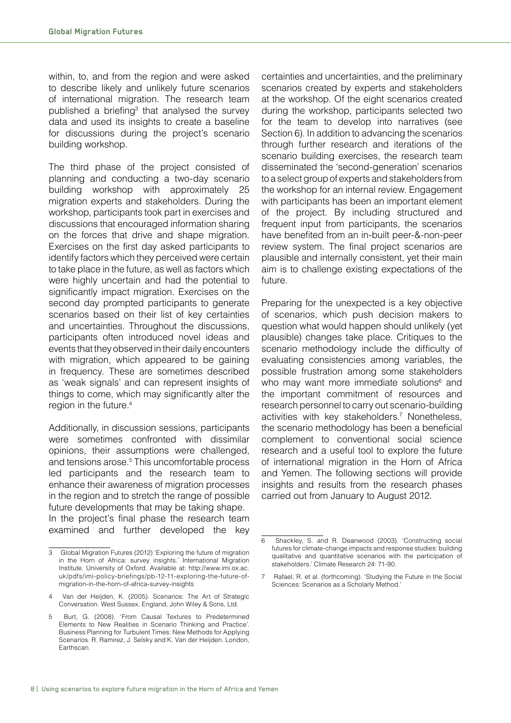within, to, and from the region and were asked to describe likely and unlikely future scenarios of international migration. The research team published a briefing<sup>3</sup> that analysed the survey data and used its insights to create a baseline for discussions during the project's scenario building workshop.

The third phase of the project consisted of planning and conducting a two-day scenario building workshop with approximately 25 migration experts and stakeholders. During the workshop, participants took part in exercises and discussions that encouraged information sharing on the forces that drive and shape migration. Exercises on the first day asked participants to identify factors which they perceived were certain to take place in the future, as well as factors which were highly uncertain and had the potential to significantly impact migration. Exercises on the second day prompted participants to generate scenarios based on their list of key certainties and uncertainties. Throughout the discussions, participants often introduced novel ideas and events that they observed in their daily encounters with migration, which appeared to be gaining in frequency. These are sometimes described as 'weak signals' and can represent insights of things to come, which may significantly alter the region in the future.4

Additionally, in discussion sessions, participants were sometimes confronted with dissimilar opinions, their assumptions were challenged, and tensions arose.<sup>5</sup> This uncomfortable process led participants and the research team to enhance their awareness of migration processes in the region and to stretch the range of possible future developments that may be taking shape. In the project's final phase the research team examined and further developed the key

certainties and uncertainties, and the preliminary scenarios created by experts and stakeholders at the workshop. Of the eight scenarios created during the workshop, participants selected two for the team to develop into narratives (see Section 6). In addition to advancing the scenarios through further research and iterations of the scenario building exercises, the research team disseminated the 'second-generation' scenarios to a select group of experts and stakeholders from the workshop for an internal review. Engagement with participants has been an important element of the project. By including structured and frequent input from participants, the scenarios have benefited from an in-built peer-&-non-peer review system. The final project scenarios are plausible and internally consistent, yet their main aim is to challenge existing expectations of the future.

Preparing for the unexpected is a key objective of scenarios, which push decision makers to question what would happen should unlikely (yet plausible) changes take place. Critiques to the scenario methodology include the difficulty of evaluating consistencies among variables, the possible frustration among some stakeholders who may want more immediate solutions<sup>6</sup> and the important commitment of resources and research personnel to carry out scenario-building activities with key stakeholders.7 Nonetheless, the scenario methodology has been a beneficial complement to conventional social science research and a useful tool to explore the future of international migration in the Horn of Africa and Yemen. The following sections will provide insights and results from the research phases carried out from January to August 2012.

<sup>3</sup> Global Migration Futures (2012) 'Exploring the future of migration in the Horn of Africa: survey insights.' International Migration Institute. University of Oxford. Available at: http://www.imi.ox.ac. uk/pdfs/imi-policy-briefings/pb-12-11-exploring-the-future-ofmigration-in-the-horn-of-africa-survey-insights

<sup>4</sup> Van der Heijden, K. (2005). Scenarios: The Art of Strategic Conversation. West Sussex, England, John Wiley & Sons, Ltd.

<sup>5</sup> Burt, G. (2008). 'From Causal Textures to Predetermined Elements to New Realities in Scenario Thinking and Practice'. Business Planning for Turbulent Times: New Methods for Applying Scenarios. R. Ramirez, J. Selsky and K. Van der Heijden. London, **Earthscan** 

<sup>6</sup> Shackley, S. and R. Deanwood (2003). 'Constructing social futures for climate-change impacts and response studies: building qualitative and quantitative scenarios with the participation of stakeholders.' Climate Research 24: 71-90.

<sup>7</sup> Rafael, R. et al. (forthcoming). 'Studying the Future in the Social Sciences: Scenarios as a Scholarly Method.'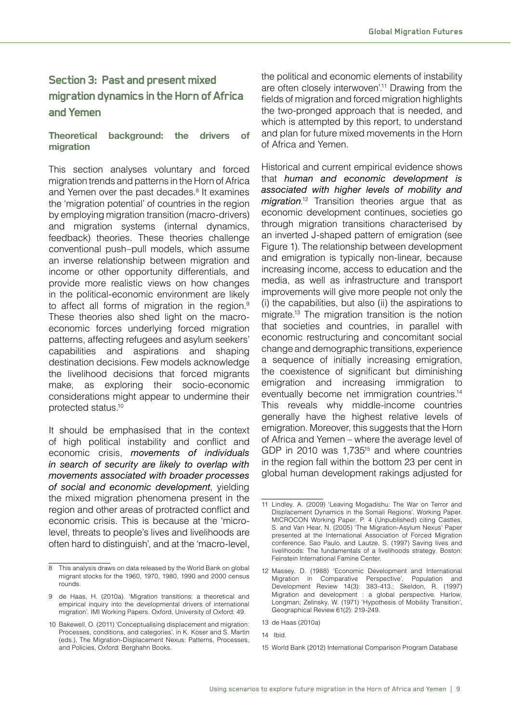# **Section 3: Past and present mixed migration dynamics in the Horn of Africa and Yemen**

#### **Theoretical background: the drivers of migration**

This section analyses voluntary and forced migration trends and patterns in the Horn of Africa and Yemen over the past decades.<sup>8</sup> It examines the 'migration potential' of countries in the region by employing migration transition (macro-drivers) and migration systems (internal dynamics, feedback) theories. These theories challenge conventional push–pull models, which assume an inverse relationship between migration and income or other opportunity differentials, and provide more realistic views on how changes in the political-economic environment are likely to affect all forms of migration in the region.<sup>9</sup> These theories also shed light on the macroeconomic forces underlying forced migration patterns, affecting refugees and asylum seekers' capabilities and aspirations and shaping destination decisions. Few models acknowledge the livelihood decisions that forced migrants make, as exploring their socio-economic considerations might appear to undermine their protected status.10

It should be emphasised that in the context of high political instability and conflict and economic crisis, *movements of individuals in search of security are likely to overlap with movements associated with broader processes of social and economic development*, yielding the mixed migration phenomena present in the region and other areas of protracted conflict and economic crisis. This is because at the 'microlevel, threats to people's lives and livelihoods are often hard to distinguish', and at the 'macro-level,

the political and economic elements of instability are often closely interwoven'.<sup>11</sup> Drawing from the fields of migration and forced migration highlights the two-pronged approach that is needed, and which is attempted by this report, to understand and plan for future mixed movements in the Horn of Africa and Yemen.

Historical and current empirical evidence shows that *human and economic development is associated with higher levels of mobility and migration*. 12 Transition theories argue that as economic development continues, societies go through migration transitions characterised by an inverted J-shaped pattern of emigration (see Figure 1). The relationship between development and emigration is typically non-linear, because increasing income, access to education and the media, as well as infrastructure and transport improvements will give more people not only the (i) the capabilities, but also (ii) the aspirations to migrate.<sup>13</sup> The migration transition is the notion that societies and countries, in parallel with economic restructuring and concomitant social change and demographic transitions, experience a sequence of initially increasing emigration, the coexistence of significant but diminishing emigration and increasing immigration to eventually become net immigration countries.<sup>14</sup> This reveals why middle-income countries generally have the highest relative levels of emigration. Moreover, this suggests that the Horn of Africa and Yemen – where the average level of GDP in 2010 was 1,735<sup>15</sup> and where countries in the region fall within the bottom 23 per cent in global human development rakings adjusted for

<sup>8</sup> This analysis draws on data released by the World Bank on global migrant stocks for the 1960, 1970, 1980, 1990 and 2000 census rounds.

<sup>9</sup> de Haas, H. (2010a). 'Migration transitions: a theoretical and empirical inquiry into the developmental drivers of international migration'. IMI Working Papers. Oxford, University of Oxford: 49.

<sup>10</sup> Bakewell, O. (2011) 'Conceptualising displacement and migration: Processes, conditions, and categories', in K. Koser and S. Martin (eds.), The Migration-Displacement Nexus: Patterns, Processes, and Policies, Oxford: Berghahn Books.

<sup>11</sup> Lindley, A. (2009) 'Leaving Mogadishu: The War on Terror and Displacement Dynamics in the Somali Regions'. Working Paper. MICROCON Working Paper. P. 4 (Unpublished) citing Castles, S. and Van Hear, N. (2005) 'The Migration-Asylum Nexus' Paper presented at the International Association of Forced Migration conference. Sao Paulo, and Lautze, S. (1997) Saving lives and livelihoods: The fundamentals of a livelihoods strategy. Boston: Feinstein International Famine Center.

<sup>12</sup> Massey, D. (1988) 'Economic Development and International Migration in Comparative Perspective', Population and Development Review 14(3): 383-413.; Skeldon, R. (1997) Migration and development : a global perspective. Harlow, Longman; Zelinsky, W. (1971) 'Hypothesis of Mobility Transition', Geographical Review 61(2): 219-249.

<sup>13</sup> de Haas (2010a)

<sup>14</sup> Ibid.

<sup>15</sup> World Bank (2012) International Comparison Program Database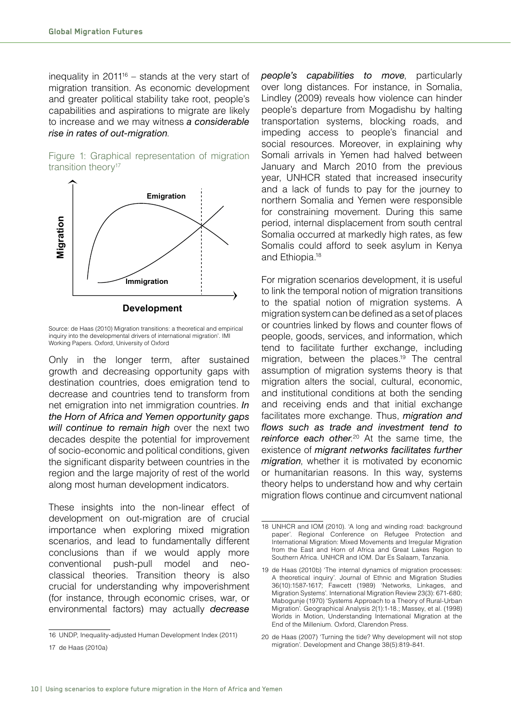inequality in  $2011^{16}$  – stands at the very start of migration transition. As economic development and greater political stability take root, people's capabilities and aspirations to migrate are likely to increase and we may witness *a considerable rise in rates of out-migration*.

Figure 1: Graphical representation of migration transition theory<sup>17</sup>



**Development**

Source: de Haas (2010) Migration transitions: a theoretical and empirical inquiry into the developmental drivers of international migration'. IMI Working Papers. Oxford, University of Oxford

Only in the longer term, after sustained growth and decreasing opportunity gaps with destination countries, does emigration tend to decrease and countries tend to transform from net emigration into net immigration countries. *In the Horn of Africa and Yemen opportunity gaps will continue to remain high* over the next two decades despite the potential for improvement of socio-economic and political conditions, given the significant disparity between countries in the region and the large majority of rest of the world along most human development indicators.

These insights into the non-linear effect of development on out-migration are of crucial importance when exploring mixed migration scenarios, and lead to fundamentally different conclusions than if we would apply more conventional push-pull model and neoclassical theories. Transition theory is also crucial for understanding why impoverishment (for instance, through economic crises, war, or environmental factors) may actually *decrease* 

For migration scenarios development, it is useful to link the temporal notion of migration transitions to the spatial notion of migration systems. A migration system can be defined as a set of places or countries linked by flows and counter flows of people, goods, services, and information, which tend to facilitate further exchange, including migration, between the places.<sup>19</sup> The central assumption of migration systems theory is that migration alters the social, cultural, economic, and institutional conditions at both the sending and receiving ends and that initial exchange facilitates more exchange. Thus, *migration and*  flows such as trade and investment tend to reinforce each other.<sup>20</sup> At the same time, the existence of *migrant networks facilitates further migration*, whether it is motivated by economic or humanitarian reasons. In this way, systems theory helps to understand how and why certain migration flows continue and circumvent national

20 de Haas (2007) 'Turning the tide? Why development will not stop migration'. Development and Change 38(5):819-841.

<sup>16</sup> UNDP, Inequality-adjusted Human Development Index (2011)

*people's capabilities to move*, particularly over long distances. For instance, in Somalia, Lindley (2009) reveals how violence can hinder people's departure from Mogadishu by halting transportation systems, blocking roads, and impeding access to people's financial and social resources. Moreover, in explaining why Somali arrivals in Yemen had halved between January and March 2010 from the previous year, UNHCR stated that increased insecurity and a lack of funds to pay for the journey to northern Somalia and Yemen were responsible for constraining movement. During this same period, internal displacement from south central Somalia occurred at markedly high rates, as few Somalis could afford to seek asylum in Kenya and Ethiopia.18

<sup>18</sup> UNHCR and IOM (2010). 'A long and winding road: background paper'. Regional Conference on Refugee Protection and International Migration: Mixed Movements and Irregular Migration from the East and Horn of Africa and Great Lakes Region to Southern Africa. UNHCR and IOM. Dar Es Salaam, Tanzania.

<sup>19</sup> de Haas (2010b) 'The internal dynamics of migration processes: A theoretical inquiry'. Journal of Ethnic and Migration Studies 36(10):1587-1617; Fawcett (1989) 'Networks, Linkages, and Migration Systems'. International Migration Review 23(3): 671-680; Mabogunje (1970) 'Systems Approach to a Theory of Rural-Urban Migration'. Geographical Analysis 2(1):1-18.; Massey, et al. (1998) Worlds in Motion, Understanding International Migration at the End of the Millenium. Oxford, Clarendon Press.

<sup>17</sup> de Haas (2010a)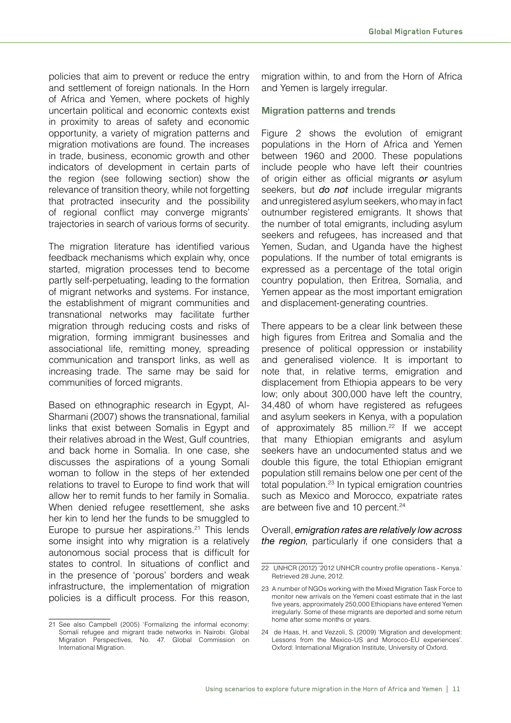policies that aim to prevent or reduce the entry and settlement of foreign nationals. In the Horn of Africa and Yemen, where pockets of highly uncertain political and economic contexts exist in proximity to areas of safety and economic opportunity, a variety of migration patterns and migration motivations are found. The increases in trade, business, economic growth and other indicators of development in certain parts of the region (see following section) show the relevance of transition theory, while not forgetting that protracted insecurity and the possibility of regional conflict may converge migrants' trajectories in search of various forms of security.

The migration literature has identified various feedback mechanisms which explain why, once started, migration processes tend to become partly self-perpetuating, leading to the formation of migrant networks and systems. For instance, the establishment of migrant communities and transnational networks may facilitate further migration through reducing costs and risks of migration, forming immigrant businesses and associational life, remitting money, spreading communication and transport links, as well as increasing trade. The same may be said for communities of forced migrants.

Based on ethnographic research in Egypt, Al-Sharmani (2007) shows the transnational, familial links that exist between Somalis in Egypt and their relatives abroad in the West, Gulf countries, and back home in Somalia. In one case, she discusses the aspirations of a young Somali woman to follow in the steps of her extended relations to travel to Europe to find work that will allow her to remit funds to her family in Somalia. When denied refugee resettlement, she asks her kin to lend her the funds to be smuggled to Europe to pursue her aspirations. $21$  This lends some insight into why migration is a relatively autonomous social process that is difficult for states to control. In situations of conflict and in the presence of 'porous' borders and weak infrastructure, the implementation of migration policies is a difficult process. For this reason,

21 See also Campbell (2005) 'Formalizing the informal economy: Somali refugee and migrant trade networks in Nairobi. Global Migration Perspectives, No. 47. Global Commission on International Migration.

migration within, to and from the Horn of Africa and Yemen is largely irregular.

#### **Migration patterns and trends**

Figure 2 shows the evolution of emigrant populations in the Horn of Africa and Yemen between 1960 and 2000. These populations include people who have left their countries of origin either as official migrants *or* asylum seekers, but *do not* include irregular migrants and unregistered asylum seekers, who may in fact outnumber registered emigrants. It shows that the number of total emigrants, including asylum seekers and refugees, has increased and that Yemen, Sudan, and Uganda have the highest populations. If the number of total emigrants is expressed as a percentage of the total origin country population, then Eritrea, Somalia, and Yemen appear as the most important emigration and displacement-generating countries.

There appears to be a clear link between these high figures from Eritrea and Somalia and the presence of political oppression or instability and generalised violence. It is important to note that, in relative terms, emigration and displacement from Ethiopia appears to be very low; only about 300,000 have left the country, 34,480 of whom have registered as refugees and asylum seekers in Kenya, with a population of approximately  $85$  million.<sup>22</sup> If we accept that many Ethiopian emigrants and asylum seekers have an undocumented status and we double this figure, the total Ethiopian emigrant population still remains below one per cent of the total population.<sup>23</sup> In typical emigration countries such as Mexico and Morocco, expatriate rates are between five and 10 percent.<sup>24</sup>

Overall, *emigration rates are relatively low across the region*, particularly if one considers that a

<sup>22</sup> UNHCR (2012) '2012 UNHCR country profile operations - Kenya.' Retrieved 28 June, 2012.

<sup>23</sup> A number of NGOs working with the Mixed Migration Task Force to monitor new arrivals on the Yemeni coast estimate that in the last five years, approximately 250,000 Ethiopians have entered Yemen irregularly. Some of these migrants are deported and some return home after some months or years.

<sup>24</sup> de Haas, H. and Vezzoli, S. (2009) 'Migration and development: Lessons from the Mexico-US and Morocco-EU experiences'. Oxford: International Migration Institute, University of Oxford.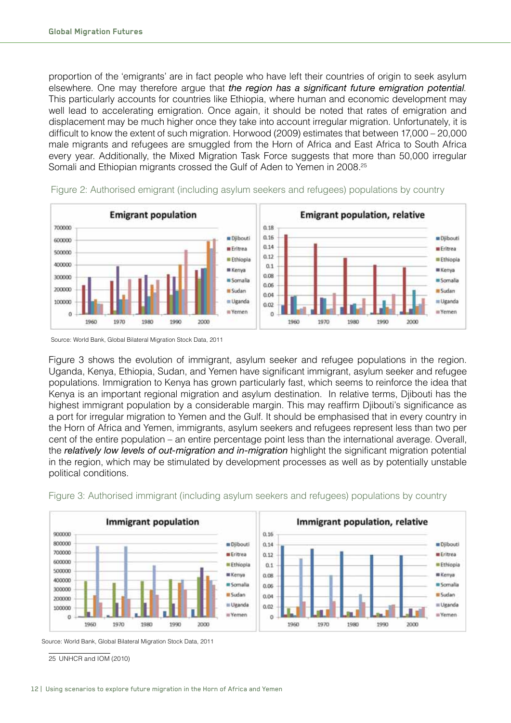proportion of the 'emigrants' are in fact people who have left their countries of origin to seek asylum elsewhere. One may therefore argue that *the region has a significant future emigration potential*. This particularly accounts for countries like Ethiopia, where human and economic development may well lead to accelerating emigration. Once again, it should be noted that rates of emigration and displacement may be much higher once they take into account irregular migration. Unfortunately, it is difficult to know the extent of such migration. Horwood (2009) estimates that between 17,000 – 20,000 male migrants and refugees are smuggled from the Horn of Africa and East Africa to South Africa every vear. Additionally, the Mixed Migration Task Force suggests that more than 50,000 irregular Somali and Ethiopian migrants crossed the Gulf of Aden to Yemen in 2008.<sup>25</sup>





Source: World Bank, Global Bilateral Migration Stock Data, 2011

Figure 3 shows the evolution of immigrant, asylum seeker and refugee populations in the region. Uganda, Kenya, Ethiopia, Sudan, and Yemen have significant immigrant, asylum seeker and refugee populations. Immigration to Kenya has grown particularly fast, which seems to reinforce the idea that Kenya is an important regional migration and asylum destination. In relative terms, Djibouti has the highest immigrant population by a considerable margin. This may reaffirm Djibouti's significance as a port for irregular migration to Yemen and the Gulf. It should be emphasised that in every country in the Horn of Africa and Yemen, immigrants, asylum seekers and refugees represent less than two per cent of the entire population – an entire percentage point less than the international average. Overall, the *relatively low levels of out-migration and in-migration* highlight the significant migration potential in the region, which may be stimulated by development processes as well as by potentially unstable political conditions.



Figure 3: Authorised immigrant (including asylum seekers and refugees) populations by country

Source: World Bank, Global Bilateral Migration Stock Data, 2011

25 UNHCR and IOM (2010)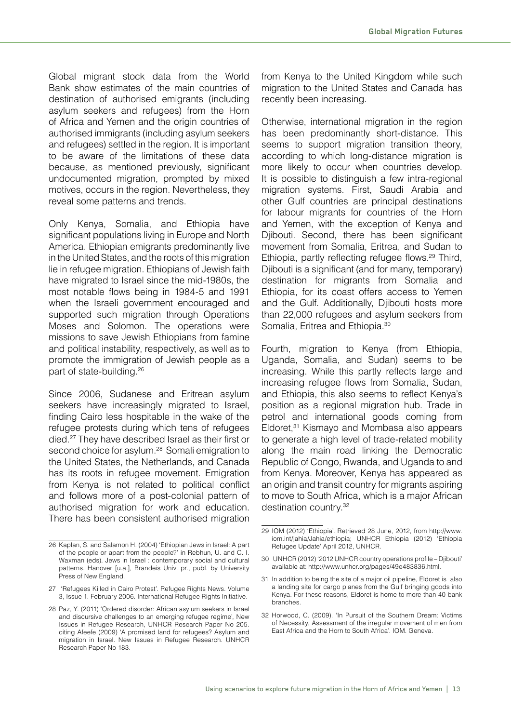Global migrant stock data from the World Bank show estimates of the main countries of destination of authorised emigrants (including asylum seekers and refugees) from the Horn of Africa and Yemen and the origin countries of authorised immigrants (including asylum seekers and refugees) settled in the region. It is important to be aware of the limitations of these data because, as mentioned previously, significant undocumented migration, prompted by mixed motives, occurs in the region. Nevertheless, they reveal some patterns and trends.

Only Kenya, Somalia, and Ethiopia have significant populations living in Europe and North America. Ethiopian emigrants predominantly live in the United States, and the roots of this migration lie in refugee migration. Ethiopians of Jewish faith have migrated to Israel since the mid-1980s, the most notable flows being in 1984-5 and 1991 when the Israeli government encouraged and supported such migration through Operations Moses and Solomon. The operations were missions to save Jewish Ethiopians from famine and political instability, respectively, as well as to promote the immigration of Jewish people as a part of state-building.26

Since 2006, Sudanese and Eritrean asylum seekers have increasingly migrated to Israel, finding Cairo less hospitable in the wake of the refugee protests during which tens of refugees died.27 They have described Israel as their first or second choice for asylum.<sup>28</sup> Somali emigration to the United States, the Netherlands, and Canada has its roots in refugee movement. Emigration from Kenya is not related to political conflict and follows more of a post-colonial pattern of authorised migration for work and education. There has been consistent authorised migration from Kenya to the United Kingdom while such migration to the United States and Canada has recently been increasing.

Otherwise, international migration in the region has been predominantly short-distance. This seems to support migration transition theory, according to which long-distance migration is more likely to occur when countries develop. It is possible to distinguish a few intra-regional migration systems. First, Saudi Arabia and other Gulf countries are principal destinations for labour migrants for countries of the Horn and Yemen, with the exception of Kenya and Djibouti. Second, there has been significant movement from Somalia, Eritrea, and Sudan to Ethiopia, partly reflecting refugee flows.<sup>29</sup> Third, Diibouti is a significant (and for many, temporary) destination for migrants from Somalia and Ethiopia, for its coast offers access to Yemen and the Gulf. Additionally, Djibouti hosts more than 22,000 refugees and asylum seekers from Somalia, Eritrea and Ethiopia.<sup>30</sup>

Fourth, migration to Kenya (from Ethiopia, Uganda, Somalia, and Sudan) seems to be increasing. While this partly reflects large and increasing refugee flows from Somalia, Sudan, and Ethiopia, this also seems to reflect Kenya's position as a regional migration hub. Trade in petrol and international goods coming from Eldoret,<sup>31</sup> Kismayo and Mombasa also appears to generate a high level of trade-related mobility along the main road linking the Democratic Republic of Congo, Rwanda, and Uganda to and from Kenya. Moreover, Kenya has appeared as an origin and transit country for migrants aspiring to move to South Africa, which is a major African destination country.32

<sup>26</sup> Kaplan, S. and Salamon H. (2004) 'Ethiopian Jews in Israel: A part of the people or apart from the people?' in Rebhun, U. and C. I. Waxman (eds). Jews in Israel : contemporary social and cultural patterns. Hanover [u.a.], Brandeis Univ. pr., publ. by University Press of New England.

<sup>27 &#</sup>x27;Refugees Killed in Cairo Protest'. Refugee Rights News. Volume 3, Issue 1. February 2006. International Refugee Rights Initiative.

<sup>28</sup> Paz, Y. (2011) 'Ordered disorder: African asylum seekers in Israel and discursive challenges to an emerging refugee regime', New Issues in Refugee Research, UNHCR Research Paper No 205. citing Afeefe (2009) 'A promised land for refugees? Asylum and migration in Israel. New Issues in Refugee Research. UNHCR Research Paper No 183.

<sup>29</sup> IOM (2012) 'Ethiopia'. Retrieved 28 June, 2012, from http://www. iom.int/jahia/Jahia/ethiopia; UNHCR Ethiopia (2012) 'Ethiopia Refugee Update' April 2012, UNHCR.

<sup>30</sup> UNHCR (2012) '2012 UNHCR country operations profile – Djibouti' available at: http://www.unhcr.org/pages/49e483836.html.

<sup>31</sup> In addition to being the site of a major oil pipeline, Eldoret is also a landing site for cargo planes from the Gulf bringing goods into Kenya. For these reasons, Eldoret is home to more than 40 bank branches.

<sup>32</sup> Horwood, C. (2009). 'In Pursuit of the Southern Dream: Victims of Necessity, Assessment of the irregular movement of men from East Africa and the Horn to South Africa'. IOM. Geneva.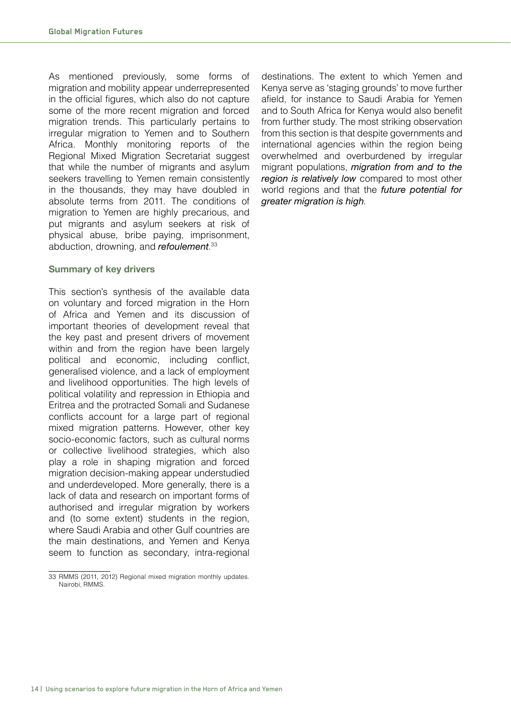As mentioned previously, some forms of migration and mobility appear underrepresented in the official figures, which also do not capture some of the more recent migration and forced migration trends. This particularly pertains to irregular migration to Yemen and to Southern Africa. Monthly monitoring reports of the Regional Mixed Migration Secretariat suggest that while the number of migrants and asylum seekers travelling to Yemen remain consistently in the thousands, they may have doubled in absolute terms from 2011. The conditions of migration to Yemen are highly precarious, and put migrants and asylum seekers at risk of physical abuse, bribe paying, imprisonment, abduction, drowning, and *refoulement*. 33

#### **Summary of key drivers**

This section's synthesis of the available data on voluntary and forced migration in the Horn of Africa and Yemen and its discussion of important theories of development reveal that the key past and present drivers of movement within and from the region have been largely political and economic, including conflict, generalised violence, and a lack of employment and livelihood opportunities. The high levels of political volatility and repression in Ethiopia and Eritrea and the protracted Somali and Sudanese conflicts account for a large part of regional mixed migration patterns. However, other key socio-economic factors, such as cultural norms or collective livelihood strategies, which also play a role in shaping migration and forced migration decision-making appear understudied and underdeveloped. More generally, there is a lack of data and research on important forms of authorised and irregular migration by workers and (to some extent) students in the region, where Saudi Arabia and other Gulf countries are the main destinations, and Yemen and Kenya seem to function as secondary, intra-regional

destinations. The extent to which Yemen and Kenya serve as 'staging grounds' to move further afield, for instance to Saudi Arabia for Yemen and to South Africa for Kenya would also benefit from further study. The most striking observation from this section is that despite governments and international agencies within the region being overwhelmed and overburdened by irregular migrant populations, *migration from and to the region is relatively low* compared to most other world regions and that the *future potential for greater migration is high*.

<sup>33</sup> RMMS (2011, 2012) Regional mixed migration monthly updates. Nairobi, RMMS.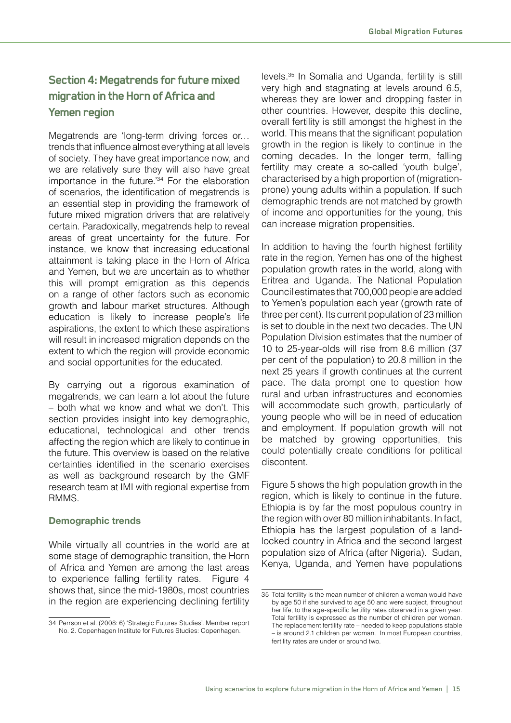# **Section 4: Megatrends for future mixed migration in the Horn of Africa and Yemen region**

Megatrends are 'long-term driving forces or… trends that influence almost everything at all levels of society. They have great importance now, and we are relatively sure they will also have great importance in the future.'34 For the elaboration of scenarios, the identification of megatrends is an essential step in providing the framework of future mixed migration drivers that are relatively certain. Paradoxically, megatrends help to reveal areas of great uncertainty for the future. For instance, we know that increasing educational attainment is taking place in the Horn of Africa and Yemen, but we are uncertain as to whether this will prompt emigration as this depends on a range of other factors such as economic growth and labour market structures. Although education is likely to increase people's life aspirations, the extent to which these aspirations will result in increased migration depends on the extent to which the region will provide economic and social opportunities for the educated.

By carrying out a rigorous examination of megatrends, we can learn a lot about the future – both what we know and what we don't. This section provides insight into key demographic, educational, technological and other trends affecting the region which are likely to continue in the future. This overview is based on the relative certainties identified in the scenario exercises as well as background research by the GMF research team at IMI with regional expertise from RMMS.

## **Demographic trends**

While virtually all countries in the world are at some stage of demographic transition, the Horn of Africa and Yemen are among the last areas to experience falling fertility rates. Figure 4 shows that, since the mid-1980s, most countries in the region are experiencing declining fertility

levels.35 In Somalia and Uganda, fertility is still very high and stagnating at levels around 6.5, whereas they are lower and dropping faster in other countries. However, despite this decline, overall fertility is still amongst the highest in the world. This means that the significant population growth in the region is likely to continue in the coming decades. In the longer term, falling fertility may create a so-called 'youth bulge', characterised by a high proportion of (migrationprone) young adults within a population. If such demographic trends are not matched by growth of income and opportunities for the young, this can increase migration propensities.

In addition to having the fourth highest fertility rate in the region, Yemen has one of the highest population growth rates in the world, along with Eritrea and Uganda. The National Population Council estimates that 700,000 people are added to Yemen's population each year (growth rate of three per cent). Its current population of 23 million is set to double in the next two decades. The UN Population Division estimates that the number of 10 to 25-year-olds will rise from 8.6 million (37 per cent of the population) to 20.8 million in the next 25 years if growth continues at the current pace. The data prompt one to question how rural and urban infrastructures and economies will accommodate such growth, particularly of young people who will be in need of education and employment. If population growth will not be matched by growing opportunities, this could potentially create conditions for political discontent.

Figure 5 shows the high population growth in the region, which is likely to continue in the future. Ethiopia is by far the most populous country in the region with over 80 million inhabitants. In fact, Ethiopia has the largest population of a landlocked country in Africa and the second largest population size of Africa (after Nigeria). Sudan, Kenya, Uganda, and Yemen have populations

<sup>34</sup> Perrson et al. (2008: 6) 'Strategic Futures Studies'. Member report No. 2. Copenhagen Institute for Futures Studies: Copenhagen.

<sup>35</sup> Total fertility is the mean number of children a woman would have by age 50 if she survived to age 50 and were subject, throughout her life, to the age-specific fertility rates observed in a given year. Total fertility is expressed as the number of children per woman. The replacement fertility rate – needed to keep populations stable – is around 2.1 children per woman. In most European countries, fertility rates are under or around two.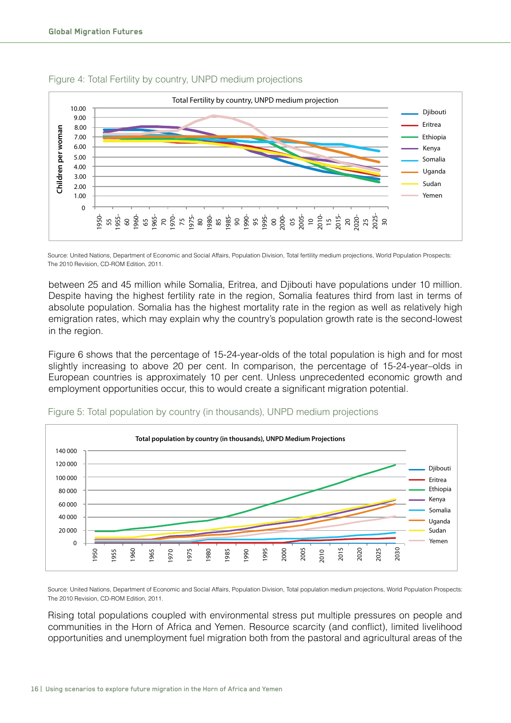

#### Figure 4: Total Fertility by country, UNPD medium projections

Source: United Nations, Department of Economic and Social Affairs, Population Division, Total fertility medium projections, World Population Prospects: The 2010 Revision, CD-ROM Edition, 2011.

between 25 and 45 million while Somalia, Eritrea, and Djibouti have populations under 10 million. Despite having the highest fertility rate in the region, Somalia features third from last in terms of absolute population. Somalia has the highest mortality rate in the region as well as relatively high emigration rates, which may explain why the country's population growth rate is the second-lowest in the region.

Figure 6 shows that the percentage of 15-24-year-olds of the total population is high and for most slightly increasing to above 20 per cent. In comparison, the percentage of 15-24-year-olds in European countries is approximately 10 per cent. Unless unprecedented economic growth and employment opportunities occur, this to would create a significant migration potential.



#### Figure 5: Total population by country (in thousands), UNPD medium projections

Source: United Nations, Department of Economic and Social Affairs, Population Division, Total population medium projections, World Population Prospects: The 2010 Revision, CD-ROM Edition, 2011.

Rising total populations coupled with environmental stress put multiple pressures on people and communities in the Horn of Africa and Yemen. Resource scarcity (and conflict), limited livelihood opportunities and unemployment fuel migration both from the pastoral and agricultural areas of the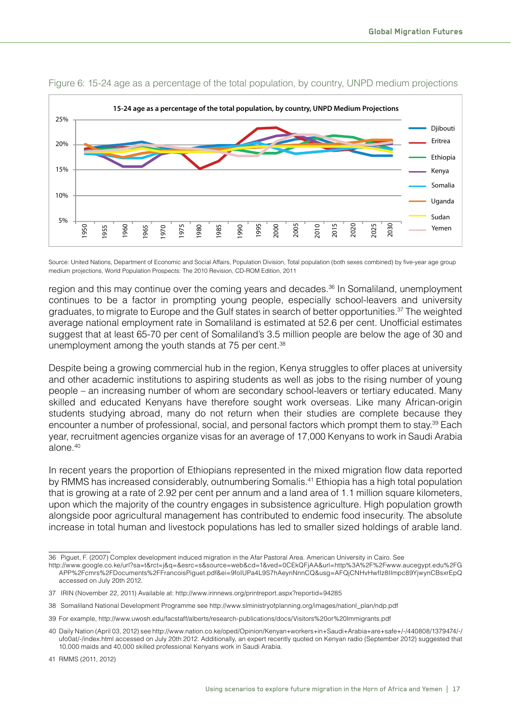

#### Figure 6: 15-24 age as a percentage of the total population, by country, UNPD medium projections

Source: United Nations, Department of Economic and Social Affairs, Population Division, Total population (both sexes combined) by five-year age group medium projections, World Population Prospects: The 2010 Revision, CD-ROM Edition, 2011

region and this may continue over the coming years and decades.<sup>36</sup> In Somaliland, unemployment continues to be a factor in prompting young people, especially school-leavers and university graduates, to migrate to Europe and the Gulf states in search of better opportunities.<sup>37</sup> The weighted average national employment rate in Somaliland is estimated at 52.6 per cent. Unofficial estimates suggest that at least 65-70 per cent of Somaliland's 3.5 million people are below the age of 30 and unemployment among the youth stands at 75 per cent.<sup>38</sup>

Despite being a growing commercial hub in the region, Kenya struggles to offer places at university and other academic institutions to aspiring students as well as jobs to the rising number of young people – an increasing number of whom are secondary school-leavers or tertiary educated. Many skilled and educated Kenyans have therefore sought work overseas. Like many African-origin students studying abroad, many do not return when their studies are complete because they encounter a number of professional, social, and personal factors which prompt them to stay.39 Each year, recruitment agencies organize visas for an average of 17,000 Kenyans to work in Saudi Arabia alone.<sup>40</sup>

In recent years the proportion of Ethiopians represented in the mixed migration flow data reported by RMMS has increased considerably, outnumbering Somalis.<sup>41</sup> Ethiopia has a high total population that is growing at a rate of 2.92 per cent per annum and a land area of 1.1 million square kilometers, upon which the majority of the country engages in subsistence agriculture. High population growth alongside poor agricultural management has contributed to endemic food insecurity. The absolute increase in total human and livestock populations has led to smaller sized holdings of arable land.

<sup>36</sup> Piguet, F. (2007) Complex development induced migration in the Afar Pastoral Area. American University in Cairo. See

http://www.google.co.ke/url?sa=t&rct=j&q=&esrc=s&source=web&cd=1&ved=0CEkQFjAA&url=http%3A%2F%2Fwww.aucegypt.edu%2FG APP%2Fcmrs%2FDocuments%2FFrancoisPiguet.pdf&ei=9foIUPa4L9S7hAeynNnnCQ&usg=AFQjCNHvHwfIz8IImpc89YjwynCBsxrEpQ accessed on July 20th 2012.

<sup>37</sup> IRIN (November 22, 2011) Available at: http://www.irinnews.org/printreport.aspx?reportid=94285

<sup>38</sup> Somaliland National Development Programme see http://www.slministryofplanning.org/images/nationl\_plan/ndp.pdf

<sup>39</sup> For example, http://www.uwosh.edu/facstaff/alberts/research-publications/docs/Visitors%20or%20Immigrants.pdf

<sup>40</sup> Daily Nation (April 03, 2012) see http://www.nation.co.ke/oped/Opinion/Kenyan+workers+in+Saudi+Arabia+are+safe+/-/440808/1379474/-/ ufo0at/-/index.html accessed on July 20th 2012. Additionally, an expert recently quoted on Kenyan radio (September 2012) suggested that 10,000 maids and 40,000 skilled professional Kenyans work in Saudi Arabia.

<sup>41</sup> RMMS (2011, 2012)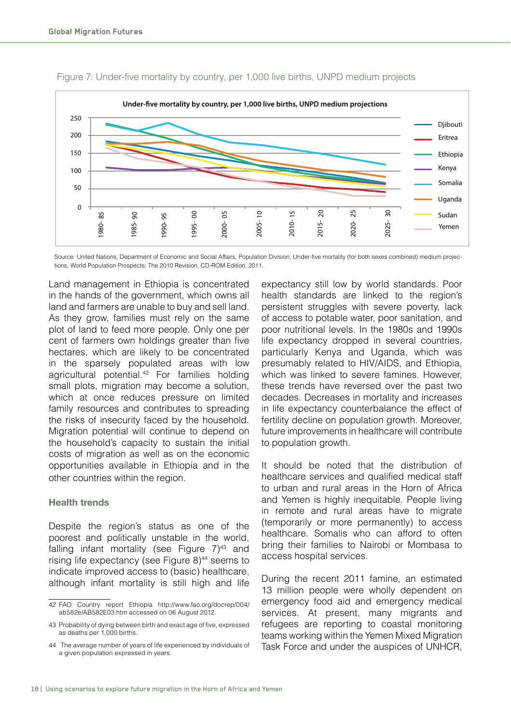

Figure 7: Under-five mortality by country, per 1,000 live births, UNPD medium projects

Source: United Nations, Department of Economic and Social Affairs, Population Division, Under-five mortality (for both sexes combined) medium projections, World Population Prospects: The 2010 Revision, CD-ROM Edition, 2011.

Land management in Ethiopia is concentrated in the hands of the government, which owns all land and farmers are unable to buy and sell land. As they grow, families must rely on the same plot of land to feed more people. Only one per cent of farmers own holdings greater than five hectares, which are likely to be concentrated in the sparsely populated areas with low agricultural potential.<sup>42</sup> For families holding small plots, migration may become a solution, which at once reduces pressure on limited family resources and contributes to spreading the risks of insecurity faced by the household. Migration potential will continue to depend on the household's capacity to sustain the initial costs of migration as well as on the economic opportunities available in Ethiopia and in the other countries within the region.

#### **Health trends**

Despite the region's status as one of the poorest and politically unstable in the world, falling infant mortality (see Figure  $7)^{43}$  and rising life expectancy (see Figure 8)<sup>44</sup> seems to indicate improved access to (basic) healthcare, although infant mortality is still high and life

expectancy still low by world standards. Poor health standards are linked to the region's persistent struggles with severe poverty, lack of access to potable water, poor sanitation, and poor nutritional levels. In the 1980s and 1990s life expectancy dropped in several countries, particularly Kenya and Uganda, which was presumably related to HIV/AIDS, and Ethiopia, which was linked to severe famines. However, these trends have reversed over the past two decades. Decreases in mortality and increases in life expectancy counterbalance the effect of fertility decline on population growth. Moreover, future improvements in healthcare will contribute to population growth.

It should be noted that the distribution of healthcare services and qualified medical staff to urban and rural areas in the Horn of Africa and Yemen is highly inequitable. People living in remote and rural areas have to migrate (temporarily or more permanently) to access healthcare. Somalis who can afford to often bring their families to Nairobi or Mombasa to access hospital services.

During the recent 2011 famine, an estimated 13 million people were wholly dependent on emergency food aid and emergency medical services. At present, many migrants and refugees are reporting to coastal monitoring teams working within the Yemen Mixed Migration Task Force and under the auspices of UNHCR,

<sup>42</sup> FAO Country report Ethiopia http://www.fao.org/docrep/004/ ab582e/AB582E03.htm accessed on 06 August 2012.

<sup>43</sup> Probability of dying between birth and exact age of five, expressed as deaths per 1,000 births.

<sup>44</sup> The average number of years of life experienced by individuals of a given population expressed in years.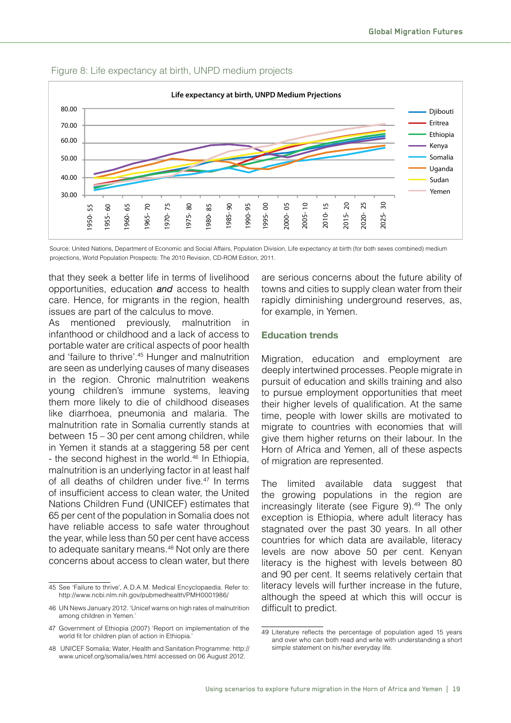

#### Figure 8: Life expectancy at birth, UNPD medium projects

Source: United Nations, Department of Economic and Social Affairs, Population Division, Life expectancy at birth (for both sexes combined) medium projections, World Population Prospects: The 2010 Revision, CD-ROM Edition, 2011.

that they seek a better life in terms of livelihood opportunities, education *and* access to health care. Hence, for migrants in the region, health issues are part of the calculus to move.

As mentioned previously, malnutrition in infanthood or childhood and a lack of access to portable water are critical aspects of poor health and 'failure to thrive'.45 Hunger and malnutrition are seen as underlying causes of many diseases in the region. Chronic malnutrition weakens young children's immune systems, leaving them more likely to die of childhood diseases like diarrhoea, pneumonia and malaria. The malnutrition rate in Somalia currently stands at between 15 – 30 per cent among children, while in Yemen it stands at a staggering 58 per cent - the second highest in the world.<sup>46</sup> In Ethiopia, malnutrition is an underlying factor in at least half of all deaths of children under five.<sup>47</sup> In terms of insufficient access to clean water, the United Nations Children Fund (UNICEF) estimates that 65 per cent of the population in Somalia does not have reliable access to safe water throughout the year, while less than 50 per cent have access to adequate sanitary means.<sup>48</sup> Not only are there concerns about access to clean water, but there

are serious concerns about the future ability of towns and cities to supply clean water from their rapidly diminishing underground reserves, as, for example, in Yemen.

#### **Education trends**

Migration, education and employment are deeply intertwined processes. People migrate in pursuit of education and skills training and also to pursue employment opportunities that meet their higher levels of qualification. At the same time, people with lower skills are motivated to migrate to countries with economies that will give them higher returns on their labour. In the Horn of Africa and Yemen, all of these aspects of migration are represented.

The limited available data suggest that the growing populations in the region are increasingly literate (see Figure 9).<sup>49</sup> The only exception is Ethiopia, where adult literacy has stagnated over the past 30 years. In all other countries for which data are available, literacy levels are now above 50 per cent. Kenyan literacy is the highest with levels between 80 and 90 per cent. It seems relatively certain that literacy levels will further increase in the future, although the speed at which this will occur is difficult to predict.

<sup>45</sup> See 'Failure to thrive', A.D.A.M. Medical Encyclopaedia. Refer to: http://www.ncbi.nlm.nih.gov/pubmedhealth/PMH0001986/

<sup>46</sup> UN News January 2012. 'Unicef warns on high rates of malnutrition among children in Yemen.'

<sup>47</sup> Government of Ethiopia (2007) 'Report on implementation of the world fit for children plan of action in Ethiopia.

<sup>48</sup> UNICEF Somalia; Water, Health and Sanitation Programme: http:// www.unicef.org/somalia/wes.html accessed on 06 August 2012.

<sup>49</sup> Literature reflects the percentage of population aged 15 years and over who can both read and write with understanding a short simple statement on his/her everyday life.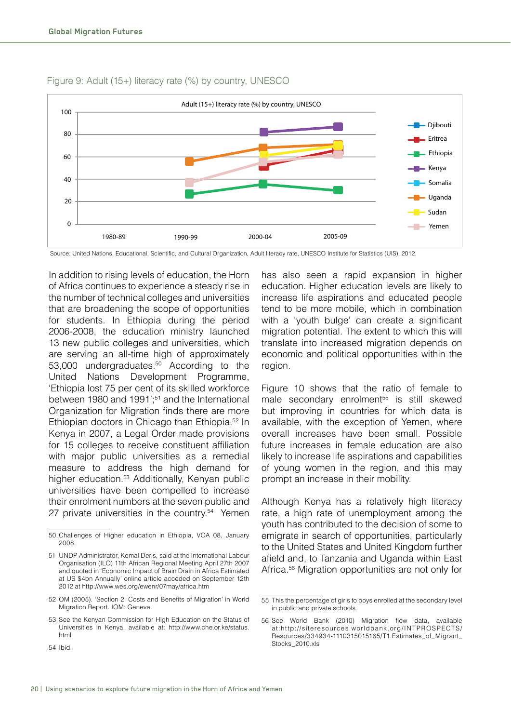

#### Figure 9: Adult (15+) literacy rate (%) by country, UNESCO

Source: United Nations, Educational, Scientific, and Cultural Organization, Adult literacy rate, UNESCO Institute for Statistics (UIS), 2012.

In addition to rising levels of education, the Horn of Africa continues to experience a steady rise in the number of technical colleges and universities that are broadening the scope of opportunities for students. In Ethiopia during the period 2006-2008, the education ministry launched 13 new public colleges and universities, which are serving an all-time high of approximately 53,000 undergraduates.50 According to the United Nations Development Programme, 'Ethiopia lost 75 per cent of its skilled workforce between 1980 and 1991';<sup>51</sup> and the International Organization for Migration finds there are more Ethiopian doctors in Chicago than Ethiopia.52 In Kenya in 2007, a Legal Order made provisions for 15 colleges to receive constituent affiliation with major public universities as a remedial measure to address the high demand for higher education.<sup>53</sup> Additionally, Kenyan public universities have been compelled to increase their enrolment numbers at the seven public and 27 private universities in the country.<sup>54</sup> Yemen

Figure 10 shows that the ratio of female to male secondary enrolment<sup>55</sup> is still skewed but improving in countries for which data is available, with the exception of Yemen, where overall increases have been small. Possible future increases in female education are also likely to increase life aspirations and capabilities of young women in the region, and this may prompt an increase in their mobility.

Although Kenya has a relatively high literacy rate, a high rate of unemployment among the youth has contributed to the decision of some to emigrate in search of opportunities, particularly to the United States and United Kingdom further afield and, to Tanzania and Uganda within East Africa.<sup>56</sup> Migration opportunities are not only for

<sup>50</sup> Challenges of Higher education in Ethiopia, VOA 08, January 2008.

<sup>51</sup> UNDP Administrator, Kemal Deris, said at the International Labour Organisation (ILO) 11th African Regional Meeting April 27th 2007 and quoted in 'Economic Impact of Brain Drain in Africa Estimated at US \$4bn Annually' online article acceded on September 12th 2012 at http://www.wes.org/ewenr/07may/africa.htm

<sup>52</sup> OM (2005). 'Section 2: Costs and Benefits of Migration' in World Migration Report. IOM: Geneva.

<sup>53</sup> See the Kenyan Commission for High Education on the Status of Universities in Kenya, available at: http://www.che.or.ke/status. html

has also seen a rapid expansion in higher education. Higher education levels are likely to increase life aspirations and educated people tend to be more mobile, which in combination with a 'youth bulge' can create a significant migration potential. The extent to which this will translate into increased migration depends on economic and political opportunities within the region.

<sup>55</sup> This the percentage of girls to boys enrolled at the secondary level in public and private schools.

<sup>56</sup> See World Bank (2010) Migration flow data, available at:http://siteresources.worldbank.org/INTPROSPECTS/ Resources/334934-1110315015165/T1.Estimates\_of\_Migrant\_ Stocks\_2010.xls

<sup>54</sup> Ibid.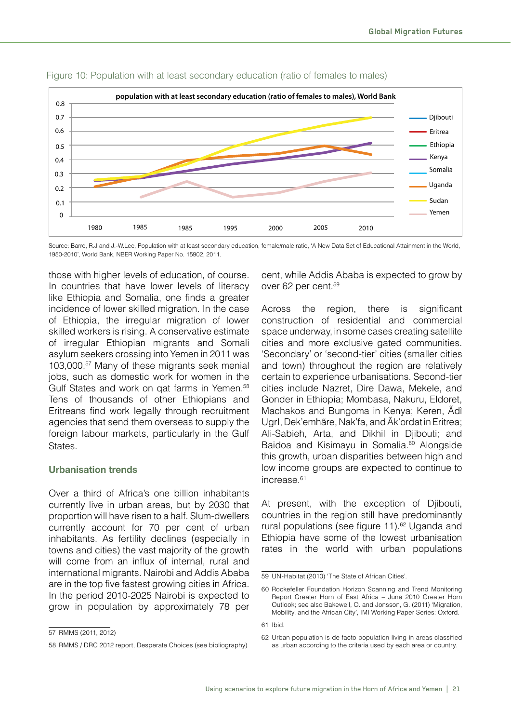

Figure 10: Population with at least secondary education (ratio of females to males)

Source: Barro, R.J and J.-W.Lee, Population with at least secondary education, female/male ratio, 'A New Data Set of Educational Attainment in the World, 1950-2010', World Bank, NBER Working Paper No. 15902, 2011.

those with higher levels of education, of course. In countries that have lower levels of literacy like Ethiopia and Somalia, one finds a greater incidence of lower skilled migration. In the case of Ethiopia, the irregular migration of lower skilled workers is rising. A conservative estimate of irregular Ethiopian migrants and Somali asylum seekers crossing into Yemen in 2011 was 103,000.57 Many of these migrants seek menial jobs, such as domestic work for women in the Gulf States and work on qat farms in Yemen.<sup>58</sup> Tens of thousands of other Ethiopians and Eritreans find work legally through recruitment agencies that send them overseas to supply the foreign labour markets, particularly in the Gulf States.

#### **Urbanisation trends**

Over a third of Africa's one billion inhabitants currently live in urban areas, but by 2030 that proportion will have risen to a half. Slum-dwellers currently account for 70 per cent of urban inhabitants. As fertility declines (especially in towns and cities) the vast majority of the growth will come from an influx of internal, rural and international migrants. Nairobi and Addis Ababa are in the top five fastest growing cities in Africa. In the period 2010-2025 Nairobi is expected to grow in population by approximately 78 per

58 RMMS / DRC 2012 report, Desperate Choices (see bibliography)

cent, while Addis Ababa is expected to grow by over 62 per cent.59

Across the region, there is significant construction of residential and commercial space underway, in some cases creating satellite cities and more exclusive gated communities. 'Secondary' or 'second-tier' cities (smaller cities and town) throughout the region are relatively certain to experience urbanisations. Second-tier cities include Nazret, Dire Dawa, Mekele, and Gonder in Ethiopia; Mombasa, Nakuru, Eldoret, Machakos and Bungoma in Kenya; Keren, Ãdì UgrI, Dek'emhãre, Nak'fa, and Ãk'ordat in Eritrea; Ali-Sabieh, Arta, and Dikhil in Djibouti; and Baidoa and Kisimayu in Somalia.<sup>60</sup> Alongside this growth, urban disparities between high and low income groups are expected to continue to increase<sup>61</sup>

At present, with the exception of Djibouti, countries in the region still have predominantly rural populations (see figure 11).<sup>62</sup> Uganda and Ethiopia have some of the lowest urbanisation rates in the world with urban populations

<sup>57</sup> RMMS (2011, 2012)

<sup>59</sup> UN-Habitat (2010) 'The State of African Cities'.

<sup>60</sup> Rockefeller Foundation Horizon Scanning and Trend Monitoring Report Greater Horn of East Africa – June 2010 Greater Horn Outlook; see also Bakewell, O. and Jonsson, G. (2011) 'Migration, Mobility, and the African City', IMI Working Paper Series: Oxford.

<sup>61</sup> Ibid.

<sup>62</sup> Urban population is de facto population living in areas classified as urban according to the criteria used by each area or country.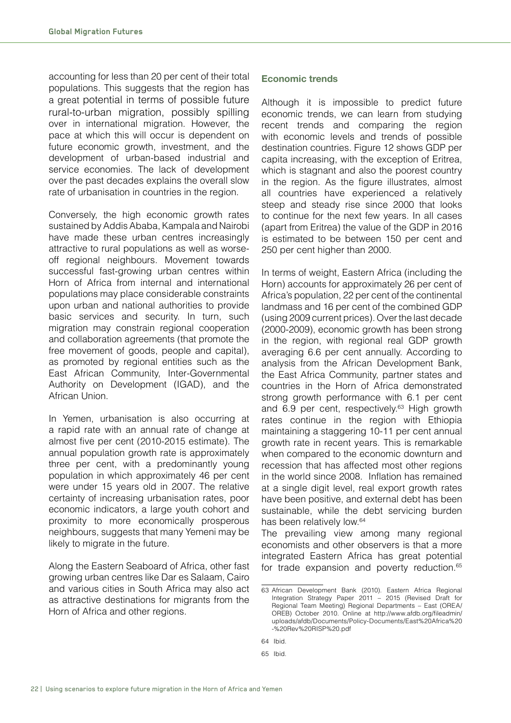accounting for less than 20 per cent of their total populations. This suggests that the region has a great potential in terms of possible future rural-to-urban migration, possibly spilling over in international migration. However, the pace at which this will occur is dependent on future economic growth, investment, and the development of urban-based industrial and service economies. The lack of development over the past decades explains the overall slow rate of urbanisation in countries in the region.

Conversely, the high economic growth rates sustained by Addis Ababa, Kampala and Nairobi have made these urban centres increasingly attractive to rural populations as well as worseoff regional neighbours. Movement towards successful fast-growing urban centres within Horn of Africa from internal and international populations may place considerable constraints upon urban and national authorities to provide basic services and security. In turn, such migration may constrain regional cooperation and collaboration agreements (that promote the free movement of goods, people and capital), as promoted by regional entities such as the East African Community, Inter-Governmental Authority on Development (IGAD), and the African Union.

In Yemen, urbanisation is also occurring at a rapid rate with an annual rate of change at almost five per cent (2010-2015 estimate). The annual population growth rate is approximately three per cent, with a predominantly young population in which approximately 46 per cent were under 15 years old in 2007. The relative certainty of increasing urbanisation rates, poor economic indicators, a large youth cohort and proximity to more economically prosperous neighbours, suggests that many Yemeni may be likely to migrate in the future.

Along the Eastern Seaboard of Africa, other fast growing urban centres like Dar es Salaam, Cairo and various cities in South Africa may also act as attractive destinations for migrants from the Horn of Africa and other regions.

#### **Economic trends**

Although it is impossible to predict future economic trends, we can learn from studying recent trends and comparing the region with economic levels and trends of possible destination countries. Figure 12 shows GDP per capita increasing, with the exception of Eritrea, which is stagnant and also the poorest country in the region. As the figure illustrates, almost all countries have experienced a relatively steep and steady rise since 2000 that looks to continue for the next few years. In all cases (apart from Eritrea) the value of the GDP in 2016 is estimated to be between 150 per cent and 250 per cent higher than 2000.

In terms of weight, Eastern Africa (including the Horn) accounts for approximately 26 per cent of Africa's population, 22 per cent of the continental landmass and 16 per cent of the combined GDP (using 2009 current prices). Over the last decade (2000-2009), economic growth has been strong in the region, with regional real GDP growth averaging 6.6 per cent annually. According to analysis from the African Development Bank, the East Africa Community, partner states and countries in the Horn of Africa demonstrated strong growth performance with 6.1 per cent and  $6.9$  per cent, respectively.<sup>63</sup> High growth rates continue in the region with Ethiopia maintaining a staggering 10-11 per cent annual growth rate in recent years. This is remarkable when compared to the economic downturn and recession that has affected most other regions in the world since 2008. Inflation has remained at a single digit level, real export growth rates have been positive, and external debt has been sustainable, while the debt servicing burden has been relatively low.<sup>64</sup>

The prevailing view among many regional economists and other observers is that a more integrated Eastern Africa has great potential for trade expansion and poverty reduction.<sup>65</sup>

<sup>63</sup> African Development Bank (2010). Eastern Africa Regional Integration Strategy Paper 2011 – 2015 (Revised Draft for Regional Team Meeting) Regional Departments – East (OREA/ OREB) October 2010. Online at http://www.afdb.org/fileadmin/ uploads/afdb/Documents/Policy-Documents/East%20Africa%20 -%20Rev%20RISP%20.pdf

<sup>64</sup> Ibid.

<sup>65</sup> Ibid.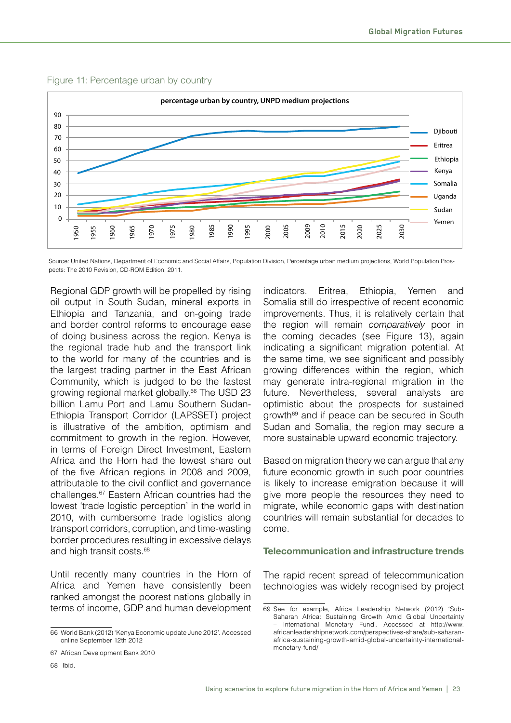



Source: United Nations, Department of Economic and Social Affairs, Population Division, Percentage urban medium projections, World Population Prospects: The 2010 Revision, CD-ROM Edition, 2011.

Regional GDP growth will be propelled by rising oil output in South Sudan, mineral exports in Ethiopia and Tanzania, and on-going trade and border control reforms to encourage ease of doing business across the region. Kenya is the regional trade hub and the transport link to the world for many of the countries and is the largest trading partner in the East African Community, which is judged to be the fastest growing regional market globally.<sup>66</sup> The USD 23 billion Lamu Port and Lamu Southern Sudan-Ethiopia Transport Corridor (LAPSSET) project is illustrative of the ambition, optimism and commitment to growth in the region. However, in terms of Foreign Direct Investment, Eastern Africa and the Horn had the lowest share out of the five African regions in 2008 and 2009, attributable to the civil conflict and governance challenges.67 Eastern African countries had the lowest 'trade logistic perception' in the world in 2010, with cumbersome trade logistics along transport corridors, corruption, and time-wasting border procedures resulting in excessive delays and high transit costs.<sup>68</sup>

Until recently many countries in the Horn of Africa and Yemen have consistently been ranked amongst the poorest nations globally in terms of income, GDP and human development

68 Ibid.

indicators. Eritrea, Ethiopia, Yemen and Somalia still do irrespective of recent economic improvements. Thus, it is relatively certain that the region will remain *comparatively* poor in the coming decades (see Figure 13), again indicating a significant migration potential. At the same time, we see significant and possibly growing differences within the region, which may generate intra-regional migration in the future. Nevertheless, several analysts are optimistic about the prospects for sustained growth<sup>69</sup> and if peace can be secured in South Sudan and Somalia, the region may secure a more sustainable upward economic trajectory.

Based on migration theory we can argue that any future economic growth in such poor countries is likely to increase emigration because it will give more people the resources they need to migrate, while economic gaps with destination countries will remain substantial for decades to come.

#### **Telecommunication and infrastructure trends**

The rapid recent spread of telecommunication technologies was widely recognised by project

<sup>66</sup> World Bank (2012) 'Kenya Economic update June 2012'. Accessed online September 12th 2012

<sup>67</sup> African Development Bank 2010

<sup>69</sup> See for example, Africa Leadership Network (2012) 'Sub-Saharan Africa: Sustaining Growth Amid Global Uncertainty – International Monetary Fund'. Accessed at http://www. africanleadershipnetwork.com/perspectives-share/sub-saharanafrica-sustaining-growth-amid-global-uncertainty-internationalmonetary-fund/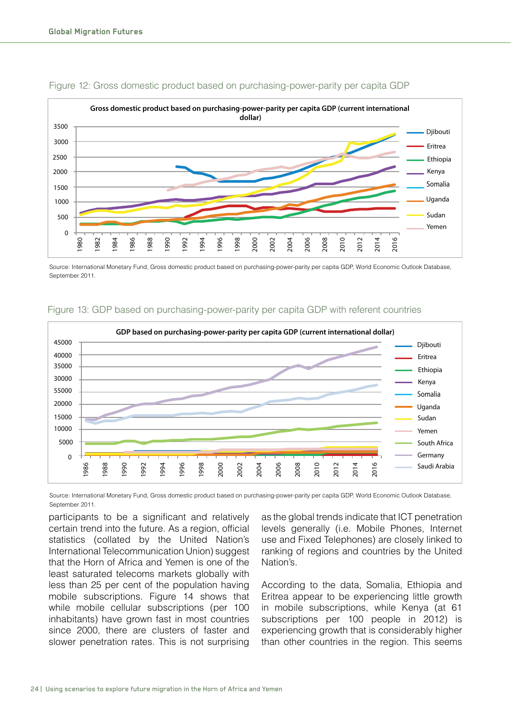

#### Figure 12: Gross domestic product based on purchasing-power-parity per capita GDP

Source: International Monetary Fund, Gross domestic product based on purchasing-power-parity per capita GDP, World Economic Outlook Database, September 2011.



#### Figure 13: GDP based on purchasing-power-parity per capita GDP with referent countries

Source: International Monetary Fund, Gross domestic product based on purchasing-power-parity per capita GDP, World Economic Outlook Database, September 2011.

participants to be a significant and relatively certain trend into the future. As a region, official statistics (collated by the United Nation's International Telecommunication Union) suggest that the Horn of Africa and Yemen is one of the least saturated telecoms markets globally with less than 25 per cent of the population having mobile subscriptions. Figure 14 shows that while mobile cellular subscriptions (per 100 inhabitants) have grown fast in most countries since 2000, there are clusters of faster and slower penetration rates. This is not surprising

as the global trends indicate that ICT penetration levels generally (i.e. Mobile Phones, Internet use and Fixed Telephones) are closely linked to ranking of regions and countries by the United Nation's.

According to the data, Somalia, Ethiopia and Eritrea appear to be experiencing little growth in mobile subscriptions, while Kenya (at 61 subscriptions per 100 people in 2012) is experiencing growth that is considerably higher than other countries in the region. This seems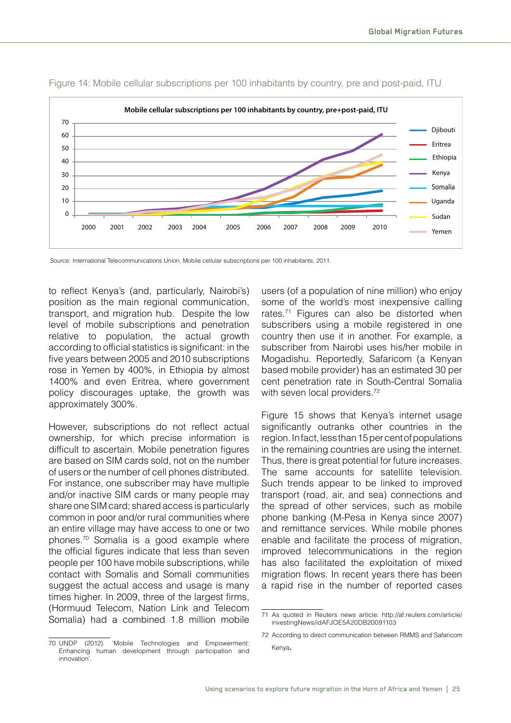

#### Figure 14: Mobile cellular subscriptions per 100 inhabitants by country, pre and post-paid, ITU

Source: International Telecommunications Union, Mobile cellular subscriptions per 100 inhabitants, 2011.

to reflect Kenya's (and, particularly, Nairobi's) position as the main regional communication, transport, and migration hub. Despite the low level of mobile subscriptions and penetration relative to population, the actual growth according to official statistics is significant: in the five years between 2005 and 2010 subscriptions rose in Yemen by 400%, in Ethiopia by almost 1400% and even Eritrea, where government policy discourages uptake, the growth was approximately 300%.

However, subscriptions do not reflect actual ownership, for which precise information is difficult to ascertain. Mobile penetration figures are based on SIM cards sold, not on the number of users or the number of cell phones distributed. For instance, one subscriber may have multiple and/or inactive SIM cards or many people may share one SIM card; shared access is particularly common in poor and/or rural communities where an entire village may have access to one or two phones.<sup>70</sup> Somalia is a good example where the official figures indicate that less than seven people per 100 have mobile subscriptions, while contact with Somalis and Somali communities suggest the actual access and usage is many times higher. In 2009, three of the largest firms, (Hormuud Telecom, Nation Link and Telecom Somalia) had a combined 1.8 million mobile users (of a population of nine million) who enjoy some of the world's most inexpensive calling rates.<sup>71</sup> Figures can also be distorted when subscribers using a mobile registered in one country then use it in another. For example, a subscriber from Nairobi uses his/her mobile in Mogadishu. Reportedly, Safaricom (a Kenyan based mobile provider) has an estimated 30 per cent penetration rate in South-Central Somalia with seven local providers.<sup>72</sup>

Figure 15 shows that Kenya's internet usage significantly outranks other countries in the region. In fact, less than 15 per cent of populations in the remaining countries are using the internet. Thus, there is great potential for future increases. The same accounts for satellite television. Such trends appear to be linked to improved transport (road, air, and sea) connections and the spread of other services, such as mobile phone banking (M-Pesa in Kenya since 2007) and remittance services. While mobile phones enable and facilitate the process of migration, improved telecommunications in the region has also facilitated the exploitation of mixed migration flows. In recent years there has been a rapid rise in the number of reported cases

<sup>71</sup> As quoted in Reuters news article: http://af.reuters.com/article/ investingNews/idAFJOE5A20DB20091103

<sup>70</sup> UNDP (2012). 'Mobile Technologies and Empowerment: Enhancing human development through participation and innovation'. Kenya.

<sup>72</sup> According to direct communication between RMMS and Safaricom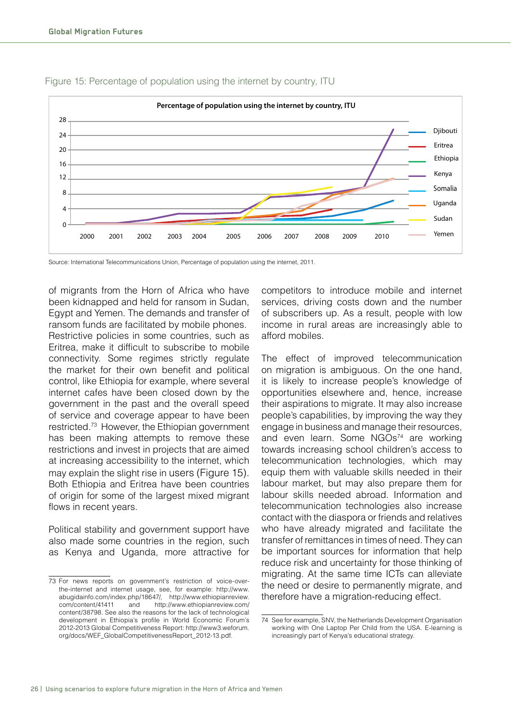

#### Figure 15: Percentage of population using the internet by country, ITU

Source: International Telecommunications Union, Percentage of population using the internet, 2011.

of migrants from the Horn of Africa who have been kidnapped and held for ransom in Sudan, Egypt and Yemen. The demands and transfer of ransom funds are facilitated by mobile phones. Restrictive policies in some countries, such as Eritrea, make it difficult to subscribe to mobile connectivity. Some regimes strictly regulate the market for their own benefit and political control, like Ethiopia for example, where several internet cafes have been closed down by the government in the past and the overall speed of service and coverage appear to have been restricted.73 However, the Ethiopian government has been making attempts to remove these restrictions and invest in projects that are aimed at increasing accessibility to the internet, which may explain the slight rise in users (Figure 15). Both Ethiopia and Eritrea have been countries of origin for some of the largest mixed migrant flows in recent years.

Political stability and government support have also made some countries in the region, such as Kenya and Uganda, more attractive for competitors to introduce mobile and internet services, driving costs down and the number of subscribers up. As a result, people with low income in rural areas are increasingly able to afford mobiles.

The effect of improved telecommunication on migration is ambiguous. On the one hand, it is likely to increase people's knowledge of opportunities elsewhere and, hence, increase their aspirations to migrate. It may also increase people's capabilities, by improving the way they engage in business and manage their resources, and even learn. Some NGOs<sup>74</sup> are working towards increasing school children's access to telecommunication technologies, which may equip them with valuable skills needed in their labour market, but may also prepare them for labour skills needed abroad. Information and telecommunication technologies also increase contact with the diaspora or friends and relatives who have already migrated and facilitate the transfer of remittances in times of need. They can be important sources for information that help reduce risk and uncertainty for those thinking of migrating. At the same time ICTs can alleviate the need or desire to permanently migrate, and therefore have a migration-reducing effect.

<sup>73</sup> For news reports on government's restriction of voice-overthe-internet and internet usage, see, for example: http://www. abugidainfo.com/index.php/18647/, http://www.ethiopianreview. com/content/41411 and http://www.ethiopianreview.com/ content/38798. See also the reasons for the lack of technological development in Ethiopia's profile in World Economic Forum's 2012-2013 Global Competitiveness Report: http://www3.weforum. org/docs/WEF\_GlobalCompetitivenessReport\_2012-13.pdf.

<sup>74</sup> See for example, SNV, the Netherlands Development Organisation working with One Laptop Per Child from the USA. E-learning is increasingly part of Kenya's educational strategy.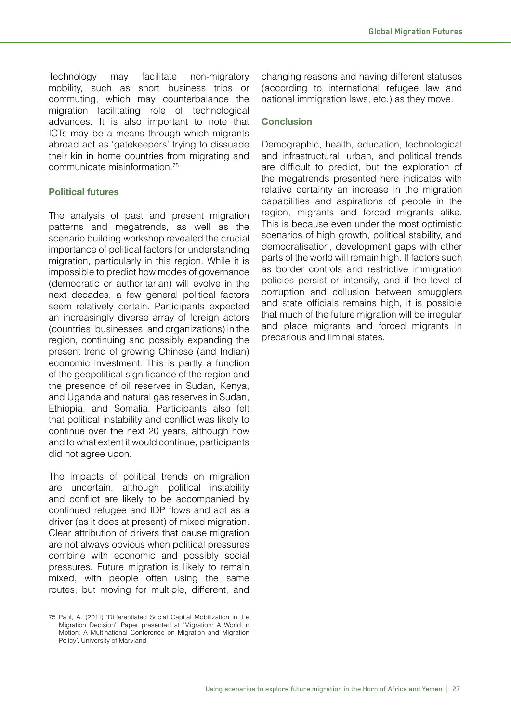Technology may facilitate non-migratory mobility, such as short business trips or commuting, which may counterbalance the migration facilitating role of technological advances. It is also important to note that ICTs may be a means through which migrants abroad act as 'gatekeepers' trying to dissuade their kin in home countries from migrating and communicate misinformation.75

#### **Political futures**

The analysis of past and present migration patterns and megatrends, as well as the scenario building workshop revealed the crucial importance of political factors for understanding migration, particularly in this region. While it is impossible to predict how modes of governance (democratic or authoritarian) will evolve in the next decades, a few general political factors seem relatively certain. Participants expected an increasingly diverse array of foreign actors (countries, businesses, and organizations) in the region, continuing and possibly expanding the present trend of growing Chinese (and Indian) economic investment. This is partly a function of the geopolitical significance of the region and the presence of oil reserves in Sudan, Kenya, and Uganda and natural gas reserves in Sudan, Ethiopia, and Somalia. Participants also felt that political instability and conflict was likely to continue over the next 20 years, although how and to what extent it would continue, participants did not agree upon.

The impacts of political trends on migration are uncertain, although political instability and conflict are likely to be accompanied by continued refugee and IDP flows and act as a driver (as it does at present) of mixed migration. Clear attribution of drivers that cause migration are not always obvious when political pressures combine with economic and possibly social pressures. Future migration is likely to remain mixed, with people often using the same routes, but moving for multiple, different, and changing reasons and having different statuses (according to international refugee law and national immigration laws, etc.) as they move.

#### **Conclusion**

Demographic, health, education, technological and infrastructural, urban, and political trends are difficult to predict, but the exploration of the megatrends presented here indicates with relative certainty an increase in the migration capabilities and aspirations of people in the region, migrants and forced migrants alike. This is because even under the most optimistic scenarios of high growth, political stability, and democratisation, development gaps with other parts of the world will remain high. If factors such as border controls and restrictive immigration policies persist or intensify, and if the level of corruption and collusion between smugglers and state officials remains high, it is possible that much of the future migration will be irregular and place migrants and forced migrants in precarious and liminal states.

<sup>75</sup> Paul, A. (2011) 'Differentiated Social Capital Mobilization in the Migration Decision', Paper presented at 'Migration: A World in Motion: A Multinational Conference on Migration and Migration Policy', University of Maryland.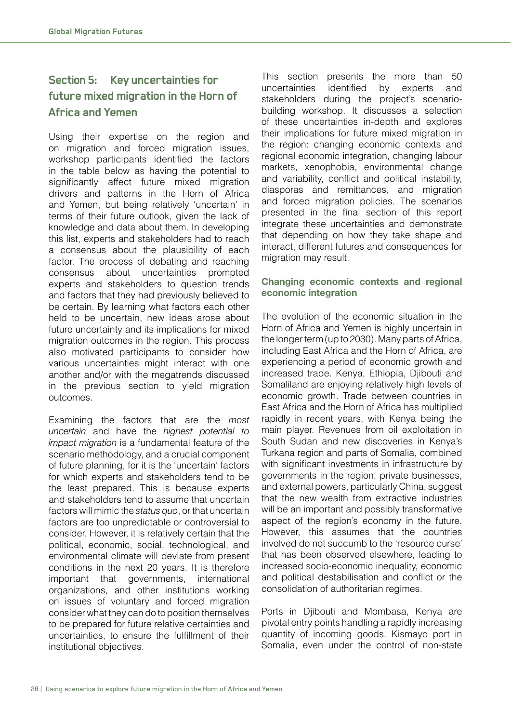# **Section 5: Key uncertainties for future mixed migration in the Horn of Africa and Yemen**

Using their expertise on the region and on migration and forced migration issues, workshop participants identified the factors in the table below as having the potential to significantly affect future mixed migration drivers and patterns in the Horn of Africa and Yemen, but being relatively 'uncertain' in terms of their future outlook, given the lack of knowledge and data about them. In developing this list, experts and stakeholders had to reach a consensus about the plausibility of each factor. The process of debating and reaching consensus about uncertainties prompted experts and stakeholders to question trends and factors that they had previously believed to be certain. By learning what factors each other held to be uncertain, new ideas arose about future uncertainty and its implications for mixed migration outcomes in the region. This process also motivated participants to consider how various uncertainties might interact with one another and/or with the megatrends discussed in the previous section to yield migration outcomes.

Examining the factors that are the *most uncertain* and have the *highest potential to impact migration* is a fundamental feature of the scenario methodology, and a crucial component of future planning, for it is the 'uncertain' factors for which experts and stakeholders tend to be the least prepared. This is because experts and stakeholders tend to assume that uncertain factors will mimic the *status quo*, or that uncertain factors are too unpredictable or controversial to consider. However, it is relatively certain that the political, economic, social, technological, and environmental climate will deviate from present conditions in the next 20 years. It is therefore important that governments, international organizations, and other institutions working on issues of voluntary and forced migration consider what they can do to position themselves to be prepared for future relative certainties and uncertainties, to ensure the fulfillment of their institutional objectives.

This section presents the more than 50 uncertainties identified by experts and stakeholders during the project's scenariobuilding workshop. It discusses a selection of these uncertainties in-depth and explores their implications for future mixed migration in the region: changing economic contexts and regional economic integration, changing labour markets, xenophobia, environmental change and variability, conflict and political instability, diasporas and remittances, and migration and forced migration policies. The scenarios presented in the final section of this report integrate these uncertainties and demonstrate that depending on how they take shape and interact, different futures and consequences for migration may result.

#### **Changing economic contexts and regional economic integration**

The evolution of the economic situation in the Horn of Africa and Yemen is highly uncertain in the longer term (up to 2030). Many parts of Africa, including East Africa and the Horn of Africa, are experiencing a period of economic growth and increased trade. Kenya, Ethiopia, Djibouti and Somaliland are enjoying relatively high levels of economic growth. Trade between countries in East Africa and the Horn of Africa has multiplied rapidly in recent years, with Kenya being the main player. Revenues from oil exploitation in South Sudan and new discoveries in Kenya's Turkana region and parts of Somalia, combined with significant investments in infrastructure by governments in the region, private businesses, and external powers, particularly China, suggest that the new wealth from extractive industries will be an important and possibly transformative aspect of the region's economy in the future. However, this assumes that the countries involved do not succumb to the 'resource curse' that has been observed elsewhere, leading to increased socio-economic inequality, economic and political destabilisation and conflict or the consolidation of authoritarian regimes.

Ports in Djibouti and Mombasa, Kenya are pivotal entry points handling a rapidly increasing quantity of incoming goods. Kismayo port in Somalia, even under the control of non-state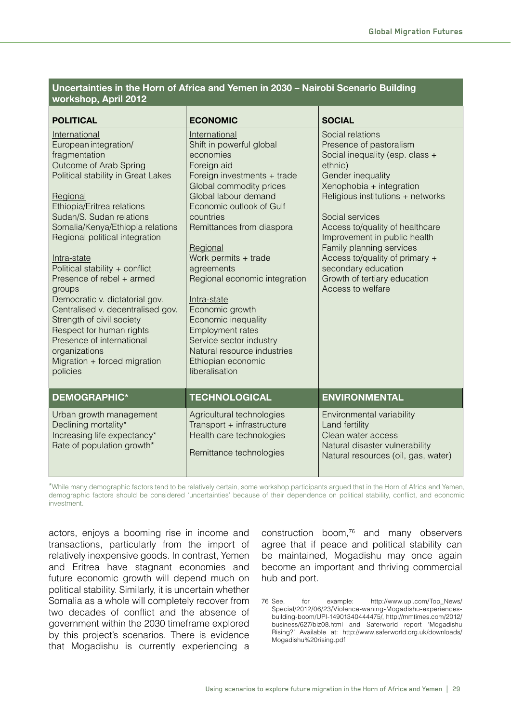#### **Uncertainties in the Horn of Africa and Yemen in 2030 – Nairobi Scenario Building workshop, April 2012**

| <b>POLITICAL</b>                                                                                                                                                                                                                                                                                                                                                                                                                                                                                                                                                                      | <b>ECONOMIC</b>                                                                                                                                                                                                                                                                                                                                                                                                                                                                                 | <b>SOCIAL</b>                                                                                                                                                                                                                                                                                                                                                                                                   |
|---------------------------------------------------------------------------------------------------------------------------------------------------------------------------------------------------------------------------------------------------------------------------------------------------------------------------------------------------------------------------------------------------------------------------------------------------------------------------------------------------------------------------------------------------------------------------------------|-------------------------------------------------------------------------------------------------------------------------------------------------------------------------------------------------------------------------------------------------------------------------------------------------------------------------------------------------------------------------------------------------------------------------------------------------------------------------------------------------|-----------------------------------------------------------------------------------------------------------------------------------------------------------------------------------------------------------------------------------------------------------------------------------------------------------------------------------------------------------------------------------------------------------------|
| International<br>European integration/<br>fragmentation<br>Outcome of Arab Spring<br>Political stability in Great Lakes<br>Regional<br>Ethiopia/Eritrea relations<br>Sudan/S. Sudan relations<br>Somalia/Kenya/Ethiopia relations<br>Regional political integration<br>Intra-state<br>Political stability + conflict<br>Presence of rebel + armed<br>groups<br>Democratic v. dictatorial gov.<br>Centralised v. decentralised gov.<br>Strength of civil society<br>Respect for human rights<br>Presence of international<br>organizations<br>Migration + forced migration<br>policies | International<br>Shift in powerful global<br>economies<br>Foreign aid<br>Foreign investments + trade<br>Global commodity prices<br>Global labour demand<br>Economic outlook of Gulf<br>countries<br>Remittances from diaspora<br>Regional<br>Work permits + trade<br>agreements<br>Regional economic integration<br>Intra-state<br>Economic growth<br>Economic inequality<br>Employment rates<br>Service sector industry<br>Natural resource industries<br>Ethiopian economic<br>liberalisation | Social relations<br>Presence of pastoralism<br>Social inequality (esp. class +<br>ethnic)<br>Gender inequality<br>Xenophobia + integration<br>Religious institutions + networks<br>Social services<br>Access to/quality of healthcare<br>Improvement in public health<br>Family planning services<br>Access to/quality of primary +<br>secondary education<br>Growth of tertiary education<br>Access to welfare |
| <b>DEMOGRAPHIC*</b>                                                                                                                                                                                                                                                                                                                                                                                                                                                                                                                                                                   | <b>TECHNOLOGICAL</b>                                                                                                                                                                                                                                                                                                                                                                                                                                                                            | <b>ENVIRONMENTAL</b>                                                                                                                                                                                                                                                                                                                                                                                            |
| Urban growth management<br>Declining mortality*<br>Increasing life expectancy*<br>Rate of population growth*                                                                                                                                                                                                                                                                                                                                                                                                                                                                          | Agricultural technologies<br>Transport + infrastructure<br>Health care technologies<br>Remittance technologies                                                                                                                                                                                                                                                                                                                                                                                  | Environmental variability<br>Land fertility<br>Clean water access<br>Natural disaster vulnerability<br>Natural resources (oil, gas, water)                                                                                                                                                                                                                                                                      |

\*While many demographic factors tend to be relatively certain, some workshop participants argued that in the Horn of Africa and Yemen, demographic factors should be considered 'uncertainties' because of their dependence on political stability, conflict, and economic investment.

actors, enjoys a booming rise in income and transactions, particularly from the import of relatively inexpensive goods. In contrast, Yemen and Eritrea have stagnant economies and future economic growth will depend much on political stability. Similarly, it is uncertain whether Somalia as a whole will completely recover from two decades of conflict and the absence of government within the 2030 timeframe explored by this project's scenarios. There is evidence that Mogadishu is currently experiencing a construction boom,<sup>76</sup> and many observers agree that if peace and political stability can be maintained, Mogadishu may once again become an important and thriving commercial hub and port.

<sup>76</sup> See, for example: http://www.upi.com/Top\_News/ Special/2012/06/23/Violence-waning-Mogadishu-experiencesbuilding-boom/UPI-14901340444475/, http://mmtimes.com/2012/ business/627/biz08.html and Saferworld report 'Mogadishu Rising?' Available at: http://www.saferworld.org.uk/downloads/ Mogadishu%20rising.pdf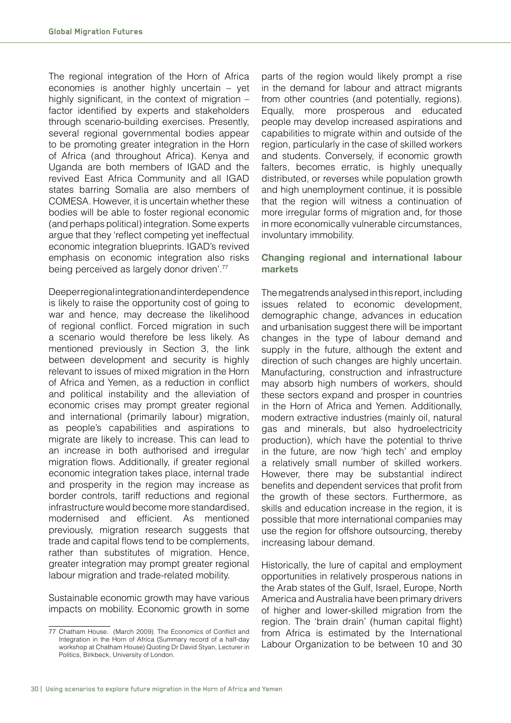The regional integration of the Horn of Africa economies is another highly uncertain – yet highly significant, in the context of migration  $$ factor identified by experts and stakeholders through scenario-building exercises. Presently, several regional governmental bodies appear to be promoting greater integration in the Horn of Africa (and throughout Africa). Kenya and Uganda are both members of IGAD and the revived East Africa Community and all IGAD states barring Somalia are also members of COMESA. However, it is uncertain whether these bodies will be able to foster regional economic (and perhaps political) integration. Some experts argue that they 'reflect competing yet ineffectual economic integration blueprints. IGAD's revived emphasis on economic integration also risks being perceived as largely donor driven<sup>'77</sup>

Deeper regional integration and interdependence is likely to raise the opportunity cost of going to war and hence, may decrease the likelihood of regional conflict. Forced migration in such a scenario would therefore be less likely. As mentioned previously in Section 3, the link between development and security is highly relevant to issues of mixed migration in the Horn of Africa and Yemen, as a reduction in conflict and political instability and the alleviation of economic crises may prompt greater regional and international (primarily labour) migration, as people's capabilities and aspirations to migrate are likely to increase. This can lead to an increase in both authorised and irregular migration flows. Additionally, if greater regional economic integration takes place, internal trade and prosperity in the region may increase as border controls, tariff reductions and regional infrastructure would become more standardised, modernised and efficient. As mentioned previously, migration research suggests that trade and capital flows tend to be complements, rather than substitutes of migration. Hence, greater integration may prompt greater regional labour migration and trade-related mobility.

Sustainable economic growth may have various impacts on mobility. Economic growth in some

parts of the region would likely prompt a rise in the demand for labour and attract migrants from other countries (and potentially, regions). Equally, more prosperous and educated people may develop increased aspirations and capabilities to migrate within and outside of the region, particularly in the case of skilled workers and students. Conversely, if economic growth falters, becomes erratic, is highly unequally distributed, or reverses while population growth and high unemployment continue, it is possible that the region will witness a continuation of more irregular forms of migration and, for those in more economically vulnerable circumstances, involuntary immobility.

#### **Changing regional and international labour markets**

The megatrends analysed in this report, including issues related to economic development, demographic change, advances in education and urbanisation suggest there will be important changes in the type of labour demand and supply in the future, although the extent and direction of such changes are highly uncertain. Manufacturing, construction and infrastructure may absorb high numbers of workers, should these sectors expand and prosper in countries in the Horn of Africa and Yemen. Additionally, modern extractive industries (mainly oil, natural gas and minerals, but also hydroelectricity production), which have the potential to thrive in the future, are now 'high tech' and employ a relatively small number of skilled workers. However, there may be substantial indirect benefits and dependent services that profit from the growth of these sectors. Furthermore, as skills and education increase in the region, it is possible that more international companies may use the region for offshore outsourcing, thereby increasing labour demand.

Historically, the lure of capital and employment opportunities in relatively prosperous nations in the Arab states of the Gulf, Israel, Europe, North America and Australia have been primary drivers of higher and lower-skilled migration from the region. The 'brain drain' (human capital flight) from Africa is estimated by the International Labour Organization to be between 10 and 30

<sup>77</sup> Chatham House. (March 2009). The Economics of Conflict and Integration in the Horn of Africa (Summary record of a half-day workshop at Chatham House) Quoting Dr David Styan, Lecturer in Politics, Birkbeck, University of London.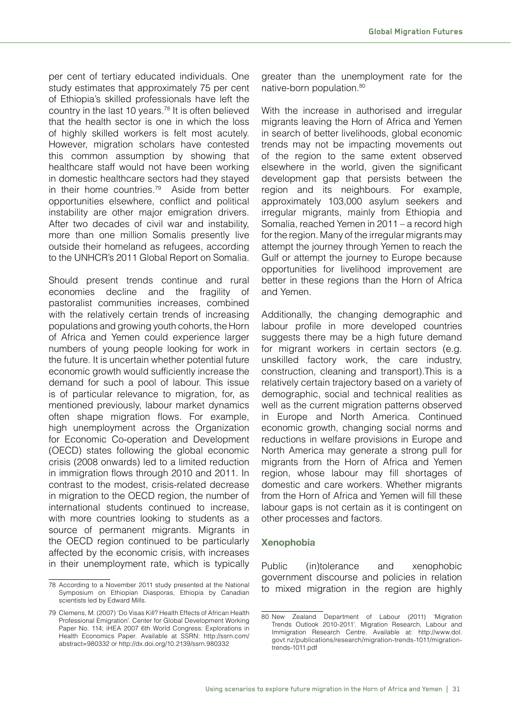per cent of tertiary educated individuals. One study estimates that approximately 75 per cent of Ethiopia's skilled professionals have left the country in the last 10 years.78 It is often believed that the health sector is one in which the loss of highly skilled workers is felt most acutely. However, migration scholars have contested this common assumption by showing that healthcare staff would not have been working in domestic healthcare sectors had they stayed in their home countries.<sup>79</sup> Aside from better opportunities elsewhere, conflict and political instability are other major emigration drivers. After two decades of civil war and instability, more than one million Somalis presently live outside their homeland as refugees, according to the UNHCR's 2011 Global Report on Somalia.

Should present trends continue and rural economies decline and the fragility of pastoralist communities increases, combined with the relatively certain trends of increasing populations and growing youth cohorts, the Horn of Africa and Yemen could experience larger numbers of young people looking for work in the future. It is uncertain whether potential future economic growth would sufficiently increase the demand for such a pool of labour. This issue is of particular relevance to migration, for, as mentioned previously, labour market dynamics often shape migration flows. For example, high unemployment across the Organization for Economic Co-operation and Development (OECD) states following the global economic crisis (2008 onwards) led to a limited reduction in immigration flows through 2010 and 2011. In contrast to the modest, crisis-related decrease in migration to the OECD region, the number of international students continued to increase, with more countries looking to students as a source of permanent migrants. Migrants in the OECD region continued to be particularly affected by the economic crisis, with increases in their unemployment rate, which is typically

greater than the unemployment rate for the native-born population.<sup>80</sup>

With the increase in authorised and irregular migrants leaving the Horn of Africa and Yemen in search of better livelihoods, global economic trends may not be impacting movements out of the region to the same extent observed elsewhere in the world, given the significant development gap that persists between the region and its neighbours. For example, approximately 103,000 asylum seekers and irregular migrants, mainly from Ethiopia and Somalia, reached Yemen in 2011 – a record high for the region. Many of the irregular migrants may attempt the journey through Yemen to reach the Gulf or attempt the journey to Europe because opportunities for livelihood improvement are better in these regions than the Horn of Africa and Yemen.

Additionally, the changing demographic and labour profile in more developed countries suggests there may be a high future demand for migrant workers in certain sectors (e.g. unskilled factory work, the care industry, construction, cleaning and transport).This is a relatively certain trajectory based on a variety of demographic, social and technical realities as well as the current migration patterns observed in Europe and North America. Continued economic growth, changing social norms and reductions in welfare provisions in Europe and North America may generate a strong pull for migrants from the Horn of Africa and Yemen region, whose labour may fill shortages of domestic and care workers. Whether migrants from the Horn of Africa and Yemen will fill these labour gaps is not certain as it is contingent on other processes and factors.

#### **Xenophobia**

Public (in)tolerance and xenophobic government discourse and policies in relation to mixed migration in the region are highly

<sup>78</sup> According to a November 2011 study presented at the National Symposium on Ethiopian Diasporas, Ethiopia by Canadian scientists led by Edward Mills.

<sup>79</sup> Clemens, M. (2007) 'Do Visas Kill? Health Effects of African Health Professional Emigration'. Center for Global Development Working Paper No. 114; IHEA 2007 6th World Congress: Explorations in Health Economics Paper. Available at SSRN: http://ssrn.com/ abstract=980332 or http://dx.doi.org/10.2139/ssrn.980332

<sup>80</sup> New Zealand Department of Labour (2011) 'Migration Trends Outlook 2010-2011'. Migration Research, Labour and Immigration Research Centre. Available at: http://www.dol. govt.nz/publications/research/migration-trends-1011/migrationtrends-1011.pdf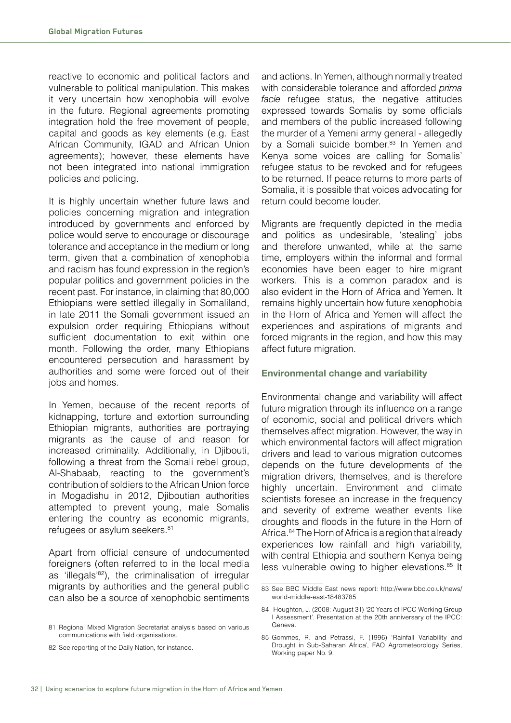reactive to economic and political factors and vulnerable to political manipulation. This makes it very uncertain how xenophobia will evolve in the future. Regional agreements promoting integration hold the free movement of people, capital and goods as key elements (e.g. East African Community, IGAD and African Union agreements); however, these elements have not been integrated into national immigration policies and policing.

It is highly uncertain whether future laws and policies concerning migration and integration introduced by governments and enforced by police would serve to encourage or discourage tolerance and acceptance in the medium or long term, given that a combination of xenophobia and racism has found expression in the region's popular politics and government policies in the recent past. For instance, in claiming that 80,000 Ethiopians were settled illegally in Somaliland, in late 2011 the Somali government issued an expulsion order requiring Ethiopians without sufficient documentation to exit within one month. Following the order, many Ethiopians encountered persecution and harassment by authorities and some were forced out of their jobs and homes.

In Yemen, because of the recent reports of kidnapping, torture and extortion surrounding Ethiopian migrants, authorities are portraying migrants as the cause of and reason for increased criminality. Additionally, in Djibouti, following a threat from the Somali rebel group, Al-Shabaab, reacting to the government's contribution of soldiers to the African Union force in Mogadishu in 2012, Djiboutian authorities attempted to prevent young, male Somalis entering the country as economic migrants, refugees or asylum seekers.<sup>81</sup>

Apart from official censure of undocumented foreigners (often referred to in the local media as 'illegals'82), the criminalisation of irregular migrants by authorities and the general public can also be a source of xenophobic sentiments

and actions. In Yemen, although normally treated with considerable tolerance and afforded *prima facie* refugee status, the negative attitudes expressed towards Somalis by some officials and members of the public increased following the murder of a Yemeni army general - allegedly by a Somali suicide bomber.<sup>83</sup> In Yemen and Kenya some voices are calling for Somalis' refugee status to be revoked and for refugees to be returned. If peace returns to more parts of Somalia, it is possible that voices advocating for return could become louder.

Migrants are frequently depicted in the media and politics as undesirable, 'stealing' jobs and therefore unwanted, while at the same time, employers within the informal and formal economies have been eager to hire migrant workers. This is a common paradox and is also evident in the Horn of Africa and Yemen. It remains highly uncertain how future xenophobia in the Horn of Africa and Yemen will affect the experiences and aspirations of migrants and forced migrants in the region, and how this may affect future migration.

#### **Environmental change and variability**

Environmental change and variability will affect future migration through its influence on a range of economic, social and political drivers which themselves affect migration. However, the way in which environmental factors will affect migration drivers and lead to various migration outcomes depends on the future developments of the migration drivers, themselves, and is therefore highly uncertain. Environment and climate scientists foresee an increase in the frequency and severity of extreme weather events like droughts and floods in the future in the Horn of Africa.84 The Horn of Africa is a region that already experiences low rainfall and high variability, with central Ethiopia and southern Kenya being less vulnerable owing to higher elevations.<sup>85</sup> It

<sup>81</sup> Regional Mixed Migration Secretariat analysis based on various communications with field organisations.

<sup>82</sup> See reporting of the Daily Nation, for instance.

<sup>83</sup> See BBC Middle East news report: http://www.bbc.co.uk/news/ world-middle-east-18483785

<sup>84</sup> Houghton, J. (2008: August 31) '20 Years of IPCC Working Group I Assessment'. Presentation at the 20th anniversary of the IPCC: Geneva.

<sup>85</sup> Gommes, R. and Petrassi, F. (1996) 'Rainfall Variability and Drought in Sub-Saharan Africa', FAO Agrometeorology Series, Working paper No. 9.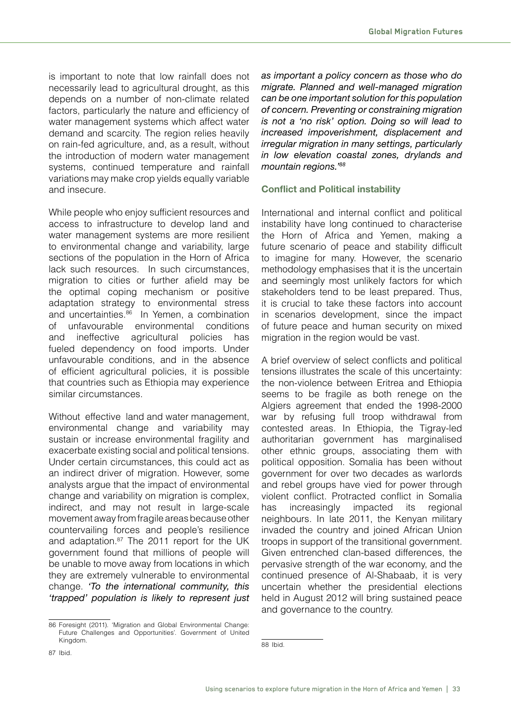is important to note that low rainfall does not necessarily lead to agricultural drought, as this depends on a number of non-climate related factors, particularly the nature and efficiency of water management systems which affect water demand and scarcity. The region relies heavily on rain-fed agriculture, and, as a result, without the introduction of modern water management systems, continued temperature and rainfall variations may make crop yields equally variable and insecure.

While people who enjoy sufficient resources and access to infrastructure to develop land and water management systems are more resilient to environmental change and variability, large sections of the population in the Horn of Africa lack such resources. In such circumstances, migration to cities or further afield may be the optimal coping mechanism or positive adaptation strategy to environmental stress and uncertainties.<sup>86</sup> In Yemen, a combination of unfavourable environmental conditions and ineffective agricultural policies has fueled dependency on food imports. Under unfavourable conditions, and in the absence of efficient agricultural policies, it is possible that countries such as Ethiopia may experience similar circumstances.

Without effective land and water management, environmental change and variability may sustain or increase environmental fragility and exacerbate existing social and political tensions. Under certain circumstances, this could act as an indirect driver of migration. However, some analysts argue that the impact of environmental change and variability on migration is complex, indirect, and may not result in large-scale movement away from fragile areas because other countervailing forces and people's resilience and adaptation.<sup>87</sup> The 2011 report for the UK government found that millions of people will be unable to move away from locations in which they are extremely vulnerable to environmental change. *'To the international community, this 'trapped' population is likely to represent just* 

86 Foresight (2011). 'Migration and Global Environmental Change: Future Challenges and Opportunities'. Government of United Kingdom.

*as important a policy concern as those who do migrate. Planned and well-managed migration can be one important solution for this population of concern. Preventing or constraining migration is not a 'no risk' option. Doing so will lead to increased impoverishment, displacement and irregular migration in many settings, particularly in low elevation coastal zones, drylands and mountain regions.'88*

#### **Conflict and Political instability**

International and internal conflict and political instability have long continued to characterise the Horn of Africa and Yemen, making a future scenario of peace and stability difficult to imagine for many. However, the scenario methodology emphasises that it is the uncertain and seemingly most unlikely factors for which stakeholders tend to be least prepared. Thus, it is crucial to take these factors into account in scenarios development, since the impact of future peace and human security on mixed migration in the region would be vast.

A brief overview of select conflicts and political tensions illustrates the scale of this uncertainty: the non-violence between Eritrea and Ethiopia seems to be fragile as both renege on the Algiers agreement that ended the 1998-2000 war by refusing full troop withdrawal from contested areas. In Ethiopia, the Tigray-led authoritarian government has marginalised other ethnic groups, associating them with political opposition. Somalia has been without government for over two decades as warlords and rebel groups have vied for power through violent conflict. Protracted conflict in Somalia has increasingly impacted its regional neighbours. In late 2011, the Kenyan military invaded the country and joined African Union troops in support of the transitional government. Given entrenched clan-based differences, the pervasive strength of the war economy, and the continued presence of Al-Shabaab, it is very uncertain whether the presidential elections held in August 2012 will bring sustained peace and governance to the country.

<sup>88</sup> Ibid.

<sup>87</sup> Ibid.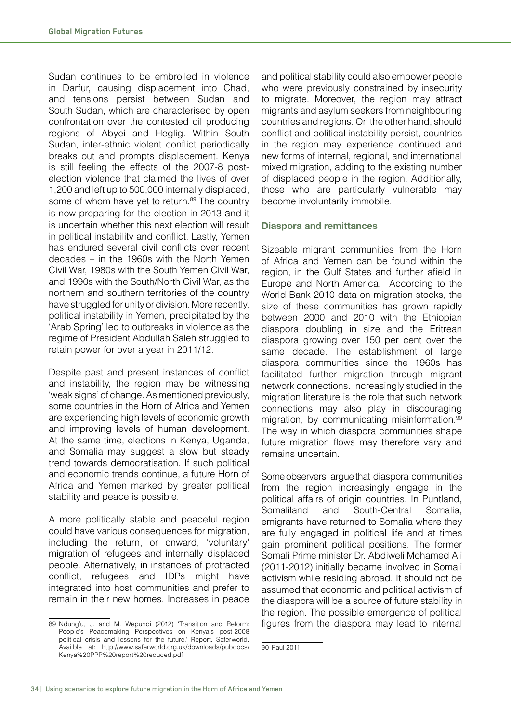Sudan continues to be embroiled in violence in Darfur, causing displacement into Chad, and tensions persist between Sudan and South Sudan, which are characterised by open confrontation over the contested oil producing regions of Abyei and Heglig. Within South Sudan, inter-ethnic violent conflict periodically breaks out and prompts displacement. Kenya is still feeling the effects of the 2007-8 postelection violence that claimed the lives of over 1,200 and left up to 500,000 internally displaced, some of whom have yet to return.<sup>89</sup> The country is now preparing for the election in 2013 and it is uncertain whether this next election will result in political instability and conflict. Lastly, Yemen has endured several civil conflicts over recent decades – in the 1960s with the North Yemen Civil War, 1980s with the South Yemen Civil War, and 1990s with the South/North Civil War, as the northern and southern territories of the country have struggled for unity or division. More recently, political instability in Yemen, precipitated by the 'Arab Spring' led to outbreaks in violence as the regime of President Abdullah Saleh struggled to retain power for over a year in 2011/12.

Despite past and present instances of conflict and instability, the region may be witnessing 'weak signs' of change. As mentioned previously, some countries in the Horn of Africa and Yemen are experiencing high levels of economic growth and improving levels of human development. At the same time, elections in Kenya, Uganda, and Somalia may suggest a slow but steady trend towards democratisation. If such political and economic trends continue, a future Horn of Africa and Yemen marked by greater political stability and peace is possible.

A more politically stable and peaceful region could have various consequences for migration, including the return, or onward, 'voluntary' migration of refugees and internally displaced people. Alternatively, in instances of protracted conflict, refugees and IDPs might have integrated into host communities and prefer to remain in their new homes. Increases in peace

and political stability could also empower people who were previously constrained by insecurity to migrate. Moreover, the region may attract migrants and asylum seekers from neighbouring countries and regions. On the other hand, should conflict and political instability persist, countries in the region may experience continued and new forms of internal, regional, and international mixed migration, adding to the existing number of displaced people in the region. Additionally, those who are particularly vulnerable may become involuntarily immobile.

#### **Diaspora and remittances**

Sizeable migrant communities from the Horn of Africa and Yemen can be found within the region, in the Gulf States and further afield in Europe and North America. According to the World Bank 2010 data on migration stocks, the size of these communities has grown rapidly between 2000 and 2010 with the Ethiopian diaspora doubling in size and the Eritrean diaspora growing over 150 per cent over the same decade. The establishment of large diaspora communities since the 1960s has facilitated further migration through migrant network connections. Increasingly studied in the migration literature is the role that such network connections may also play in discouraging migration, by communicating misinformation.<sup>90</sup> The way in which diaspora communities shape future migration flows may therefore vary and remains uncertain.

Some observers argue that diaspora communities from the region increasingly engage in the political affairs of origin countries. In Puntland, Somaliland and South-Central Somalia, emigrants have returned to Somalia where they are fully engaged in political life and at times gain prominent political positions. The former Somali Prime minister Dr. Abdiweli Mohamed Ali (2011-2012) initially became involved in Somali activism while residing abroad. It should not be assumed that economic and political activism of the diaspora will be a source of future stability in the region. The possible emergence of political figures from the diaspora may lead to internal

<sup>89</sup> Ndung'u, J. and M. Wepundi (2012) 'Transition and Reform: People's Peacemaking Perspectives on Kenya's post-2008 political crisis and lessons for the future.' Report. Saferworld. Availble at: http://www.saferworld.org.uk/downloads/pubdocs/ Kenya%20PPP%20report%20reduced.pdf

<sup>90</sup> Paul 2011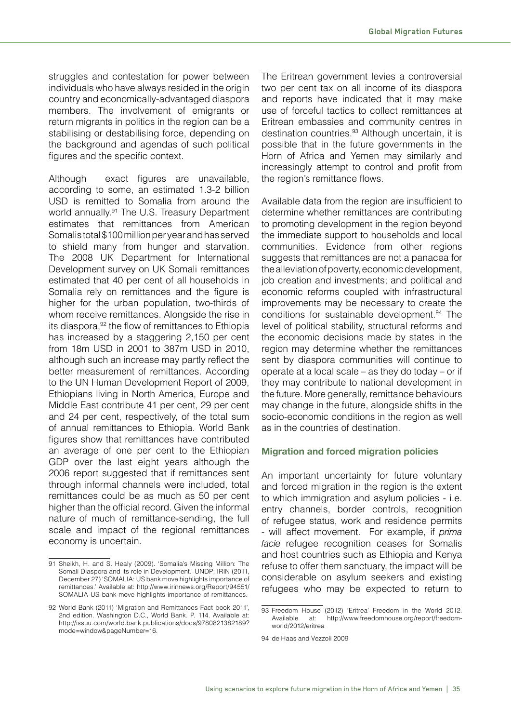struggles and contestation for power between individuals who have always resided in the origin country and economically-advantaged diaspora members. The involvement of emigrants or return migrants in politics in the region can be a stabilising or destabilising force, depending on the background and agendas of such political figures and the specific context.

Although exact figures are unavailable, according to some, an estimated 1.3-2 billion USD is remitted to Somalia from around the world annually.<sup>91</sup> The U.S. Treasury Department estimates that remittances from American Somalis total \$100 million per year and has served to shield many from hunger and starvation. The 2008 UK Department for International Development survey on UK Somali remittances estimated that 40 per cent of all households in Somalia rely on remittances and the figure is higher for the urban population, two-thirds of whom receive remittances. Alongside the rise in its diaspora, $92$  the flow of remittances to Ethiopia has increased by a staggering 2,150 per cent from 18m USD in 2001 to 387m USD in 2010, although such an increase may partly reflect the better measurement of remittances. According to the UN Human Development Report of 2009, Ethiopians living in North America, Europe and Middle East contribute 41 per cent, 29 per cent and 24 per cent, respectively, of the total sum of annual remittances to Ethiopia. World Bank figures show that remittances have contributed an average of one per cent to the Ethiopian GDP over the last eight years although the 2006 report suggested that if remittances sent through informal channels were included, total remittances could be as much as 50 per cent higher than the official record. Given the informal nature of much of remittance-sending, the full scale and impact of the regional remittances economy is uncertain.

The Eritrean government levies a controversial two per cent tax on all income of its diaspora and reports have indicated that it may make use of forceful tactics to collect remittances at Eritrean embassies and community centres in destination countries.<sup>93</sup> Although uncertain, it is possible that in the future governments in the Horn of Africa and Yemen may similarly and increasingly attempt to control and profit from the region's remittance flows.

Available data from the region are insufficient to determine whether remittances are contributing to promoting development in the region beyond the immediate support to households and local communities. Evidence from other regions suggests that remittances are not a panacea for the alleviation of poverty, economic development, job creation and investments; and political and economic reforms coupled with infrastructural improvements may be necessary to create the conditions for sustainable development.<sup>94</sup> The level of political stability, structural reforms and the economic decisions made by states in the region may determine whether the remittances sent by diaspora communities will continue to operate at a local scale – as they do today – or if they may contribute to national development in the future. More generally, remittance behaviours may change in the future, alongside shifts in the socio-economic conditions in the region as well as in the countries of destination.

#### **Migration and forced migration policies**

An important uncertainty for future voluntary and forced migration in the region is the extent to which immigration and asylum policies - i.e. entry channels, border controls, recognition of refugee status, work and residence permits - will affect movement. For example, if *prima facie* refugee recognition ceases for Somalis and host countries such as Ethiopia and Kenya refuse to offer them sanctuary, the impact will be considerable on asylum seekers and existing refugees who may be expected to return to

<sup>91</sup> Sheikh, H. and S. Healy (2009). 'Somalia's Missing Million: The Somali Diaspora and its role in Development.' UNDP; IRIN (2011, December 27) 'SOMALIA: US bank move highlights importance of remittances.' Available at: http://www.irinnews.org/Report/94551/ SOMALIA-US-bank-move-highlights-importance-of-remittances.

<sup>92</sup> World Bank (2011) 'Migration and Remittances Fact book 2011', 2nd edition. Washington D.C., World Bank. P. 114. Available at: http://issuu.com/world.bank.publications/docs/9780821382189? mode=window&pageNumber=16.

<sup>93</sup> Freedom House (2012) 'Eritrea' Freedom in the World 2012. Available at: http://www.freedomhouse.org/report/freedomworld/2012/eritrea

<sup>94</sup> de Haas and Vezzoli 2009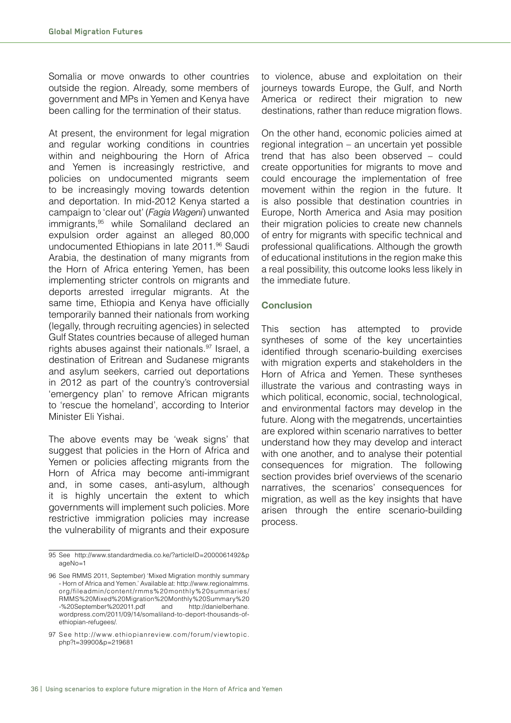Somalia or move onwards to other countries outside the region. Already, some members of government and MPs in Yemen and Kenya have been calling for the termination of their status.

At present, the environment for legal migration and regular working conditions in countries within and neighbouring the Horn of Africa and Yemen is increasingly restrictive, and policies on undocumented migrants seem to be increasingly moving towards detention and deportation. In mid-2012 Kenya started a campaign to 'clear out' (*Fagia Wageni*) unwanted immigrants,<sup>95</sup> while Somaliland declared an expulsion order against an alleged 80,000 undocumented Ethiopians in late 2011.<sup>96</sup> Saudi Arabia, the destination of many migrants from the Horn of Africa entering Yemen, has been implementing stricter controls on migrants and deports arrested irregular migrants. At the same time, Ethiopia and Kenya have officially temporarily banned their nationals from working (legally, through recruiting agencies) in selected Gulf States countries because of alleged human rights abuses against their nationals.<sup>97</sup> Israel, a destination of Eritrean and Sudanese migrants and asylum seekers, carried out deportations in 2012 as part of the country's controversial 'emergency plan' to remove African migrants to 'rescue the homeland', according to Interior Minister Eli Yishai.

The above events may be 'weak signs' that suggest that policies in the Horn of Africa and Yemen or policies affecting migrants from the Horn of Africa may become anti-immigrant and, in some cases, anti-asylum, although it is highly uncertain the extent to which governments will implement such policies. More restrictive immigration policies may increase the vulnerability of migrants and their exposure

to violence, abuse and exploitation on their journeys towards Europe, the Gulf, and North America or redirect their migration to new destinations, rather than reduce migration flows.

On the other hand, economic policies aimed at regional integration – an uncertain yet possible trend that has also been observed – could create opportunities for migrants to move and could encourage the implementation of free movement within the region in the future. It is also possible that destination countries in Europe, North America and Asia may position their migration policies to create new channels of entry for migrants with specific technical and professional qualifications. Although the growth of educational institutions in the region make this a real possibility, this outcome looks less likely in the immediate future.

#### **Conclusion**

This section has attempted to provide syntheses of some of the key uncertainties identified through scenario-building exercises with migration experts and stakeholders in the Horn of Africa and Yemen. These syntheses illustrate the various and contrasting ways in which political, economic, social, technological, and environmental factors may develop in the future. Along with the megatrends, uncertainties are explored within scenario narratives to better understand how they may develop and interact with one another, and to analyse their potential consequences for migration. The following section provides brief overviews of the scenario narratives, the scenarios' consequences for migration, as well as the key insights that have arisen through the entire scenario-building process.

<sup>95</sup> See http://www.standardmedia.co.ke/?articleID=2000061492&p ageNo=1

<sup>96</sup> See RMMS 2011, September) 'Mixed Migration monthly summary - Horn of Africa and Yemen.' Available at: http://www.regionalmms. o rg/fileadmin/content/ rmms%2 0monthly%2 0 summa ries/ RMMS%20Mixed%20Migration%20Monthly%20Summary%20 -%20September%202011.pdf and http://danielberhane. wordpress.com/2011/09/14/somaliland-to-deport-thousands-ofethiopian-refugees/.

<sup>97</sup> See http://www.ethiopianreview.com/forum/viewtopic. php?t=39900&p=219681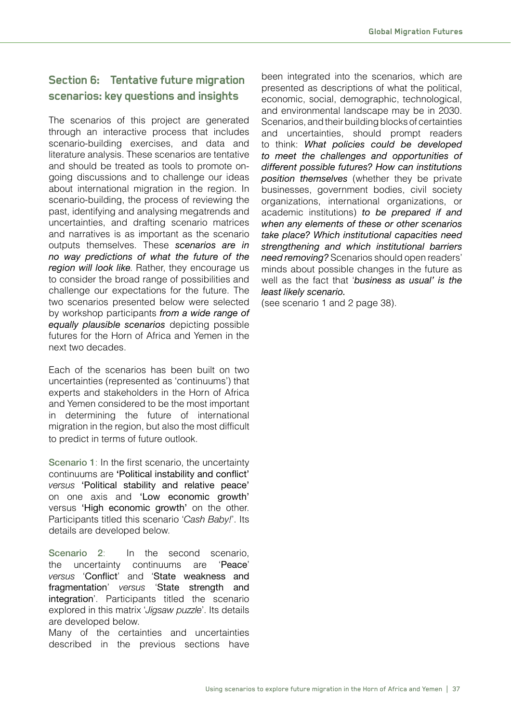# **Section 6: Tentative future migration scenarios: key questions and insights**

The scenarios of this project are generated through an interactive process that includes scenario-building exercises, and data and literature analysis. These scenarios are tentative and should be treated as tools to promote ongoing discussions and to challenge our ideas about international migration in the region. In scenario-building, the process of reviewing the past, identifying and analysing megatrends and uncertainties, and drafting scenario matrices and narratives is as important as the scenario outputs themselves. These *scenarios are in no way predictions of what the future of the region will look like*. Rather, they encourage us to consider the broad range of possibilities and challenge our expectations for the future. The two scenarios presented below were selected by workshop participants *from a wide range of equally plausible scenarios* depicting possible futures for the Horn of Africa and Yemen in the next two decades.

Each of the scenarios has been built on two uncertainties (represented as 'continuums') that experts and stakeholders in the Horn of Africa and Yemen considered to be the most important in determining the future of international migration in the region, but also the most difficult to predict in terms of future outlook.

Scenario 1: In the first scenario, the uncertainty continuums are 'Political instability and conflict' *versus* 'Political stability and relative peace' on one axis and 'Low economic growth' versus 'High economic growth' on the other. Participants titled this scenario 'Cash Baby!'. Its details are developed below.

Scenario 2: In the second scenario, the uncertainty continuums are 'Peace' *versus* 'Conflict' and 'State weakness and fragmentation' *versus* 'State strength and integration'. Participants titled the scenario explored in this matrix '*Jigsaw puzzle*'. Its details are developed below.

Many of the certainties and uncertainties described in the previous sections have

been integrated into the scenarios, which are presented as descriptions of what the political, economic, social, demographic, technological, and environmental landscape may be in 2030. Scenarios, and their building blocks of certainties and uncertainties, should prompt readers to think: *What policies could be developed to meet the challenges and opportunities of different possible futures? How can institutions position themselves* (whether they be private businesses, government bodies, civil society organizations, international organizations, or academic institutions) *to be prepared if and when any elements of these or other scenarios take place? Which institutional capacities need strengthening and which institutional barriers need removing?* Scenarios should open readers' minds about possible changes in the future as well as the fact that '*business as usual' is the least likely scenario.*

(see scenario 1 and 2 page 38).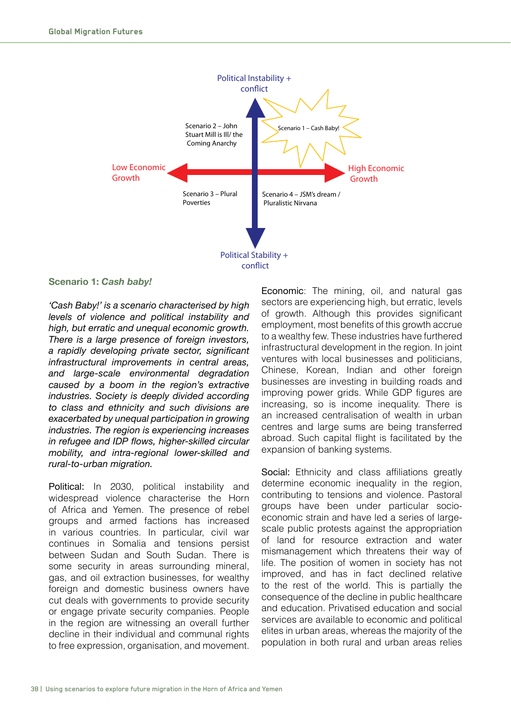

#### **Scenario 1:** *Cash baby!*

*'Cash Baby!' is a scenario characterised by high levels of violence and political instability and high, but erratic and unequal economic growth. There is a large presence of foreign investors,*  a rapidly developing private sector, significant *infrastructural improvements in central areas, and large-scale environmental degradation caused by a boom in the region's extractive industries. Society is deeply divided according to class and ethnicity and such divisions are exacerbated by unequal participation in growing industries. The region is experiencing increases in refugee and IDP flows, higher-skilled circular mobility, and intra-regional lower-skilled and rural-to-urban migration.*

Political: In 2030, political instability and widespread violence characterise the Horn of Africa and Yemen. The presence of rebel groups and armed factions has increased in various countries. In particular, civil war continues in Somalia and tensions persist between Sudan and South Sudan. There is some security in areas surrounding mineral, gas, and oil extraction businesses, for wealthy foreign and domestic business owners have cut deals with governments to provide security or engage private security companies. People in the region are witnessing an overall further decline in their individual and communal rights to free expression, organisation, and movement.

Economic: The mining, oil, and natural gas sectors are experiencing high, but erratic, levels of growth. Although this provides significant employment, most benefits of this growth accrue to a wealthy few. These industries have furthered infrastructural development in the region. In joint ventures with local businesses and politicians, Chinese, Korean, Indian and other foreign businesses are investing in building roads and improving power grids. While GDP figures are increasing, so is income inequality. There is an increased centralisation of wealth in urban centres and large sums are being transferred abroad. Such capital flight is facilitated by the expansion of banking systems.

Social: Ethnicity and class affiliations greatly determine economic inequality in the region, contributing to tensions and violence. Pastoral groups have been under particular socioeconomic strain and have led a series of largescale public protests against the appropriation of land for resource extraction and water mismanagement which threatens their way of life. The position of women in society has not improved, and has in fact declined relative to the rest of the world. This is partially the consequence of the decline in public healthcare and education. Privatised education and social services are available to economic and political elites in urban areas, whereas the majority of the population in both rural and urban areas relies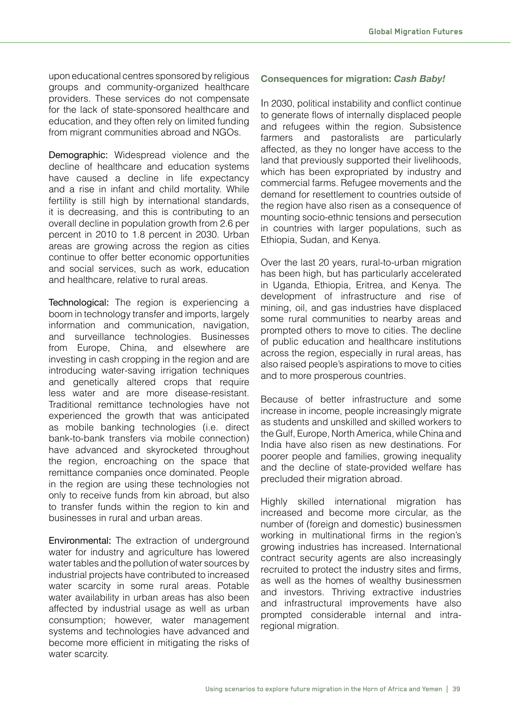upon educational centres sponsored by religious groups and community-organized healthcare providers. These services do not compensate for the lack of state-sponsored healthcare and education, and they often rely on limited funding from migrant communities abroad and NGOs.

Demographic: Widespread violence and the decline of healthcare and education systems have caused a decline in life expectancy and a rise in infant and child mortality. While fertility is still high by international standards, it is decreasing, and this is contributing to an overall decline in population growth from 2.6 per percent in 2010 to 1.8 percent in 2030. Urban areas are growing across the region as cities continue to offer better economic opportunities and social services, such as work, education and healthcare, relative to rural areas.

Technological: The region is experiencing a boom in technology transfer and imports, largely information and communication, navigation, and surveillance technologies. Businesses from Europe, China, and elsewhere are investing in cash cropping in the region and are introducing water-saving irrigation techniques and genetically altered crops that require less water and are more disease-resistant. Traditional remittance technologies have not experienced the growth that was anticipated as mobile banking technologies (i.e. direct bank-to-bank transfers via mobile connection) have advanced and skyrocketed throughout the region, encroaching on the space that remittance companies once dominated. People in the region are using these technologies not only to receive funds from kin abroad, but also to transfer funds within the region to kin and businesses in rural and urban areas.

Environmental: The extraction of underground water for industry and agriculture has lowered water tables and the pollution of water sources by industrial projects have contributed to increased water scarcity in some rural areas. Potable water availability in urban areas has also been affected by industrial usage as well as urban consumption; however, water management systems and technologies have advanced and become more efficient in mitigating the risks of water scarcity.

#### **Consequences for migration:** *Cash Baby!*

In 2030, political instability and conflict continue to generate flows of internally displaced people and refugees within the region. Subsistence farmers and pastoralists are particularly affected, as they no longer have access to the land that previously supported their livelihoods, which has been expropriated by industry and commercial farms. Refugee movements and the demand for resettlement to countries outside of the region have also risen as a consequence of mounting socio-ethnic tensions and persecution in countries with larger populations, such as Ethiopia, Sudan, and Kenya.

Over the last 20 years, rural-to-urban migration has been high, but has particularly accelerated in Uganda, Ethiopia, Eritrea, and Kenya. The development of infrastructure and rise of mining, oil, and gas industries have displaced some rural communities to nearby areas and prompted others to move to cities. The decline of public education and healthcare institutions across the region, especially in rural areas, has also raised people's aspirations to move to cities and to more prosperous countries.

Because of better infrastructure and some increase in income, people increasingly migrate as students and unskilled and skilled workers to the Gulf, Europe, North America, while China and India have also risen as new destinations. For poorer people and families, growing inequality and the decline of state-provided welfare has precluded their migration abroad.

Highly skilled international migration has increased and become more circular, as the number of (foreign and domestic) businessmen working in multinational firms in the region's growing industries has increased. International contract security agents are also increasingly recruited to protect the industry sites and firms, as well as the homes of wealthy businessmen and investors. Thriving extractive industries and infrastructural improvements have also prompted considerable internal and intraregional migration.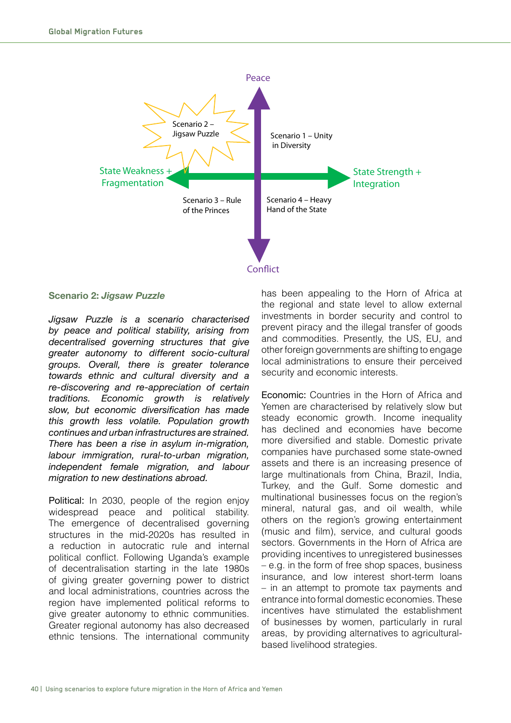

#### **Scenario 2:** *Jigsaw Puzzle*

*Jigsaw Puzzle is a scenario characterised by peace and political stability, arising from decentralised governing structures that give greater autonomy to different socio-cultural groups. Overall, there is greater tolerance towards ethnic and cultural diversity and a re-discovering and re-appreciation of certain traditions. Economic growth is relatively*   $slow, but economic diversification has made$ *this growth less volatile. Population growth continues and urban infrastructures are strained. There has been a rise in asylum in-migration, labour immigration, rural-to-urban migration, independent female migration, and labour migration to new destinations abroad.*

Political: In 2030, people of the region enjoy widespread peace and political stability. The emergence of decentralised governing structures in the mid-2020s has resulted in a reduction in autocratic rule and internal political conflict. Following Uganda's example of decentralisation starting in the late 1980s of giving greater governing power to district and local administrations, countries across the region have implemented political reforms to give greater autonomy to ethnic communities. Greater regional autonomy has also decreased ethnic tensions. The international community

has been appealing to the Horn of Africa at the regional and state level to allow external investments in border security and control to prevent piracy and the illegal transfer of goods and commodities. Presently, the US, EU, and other foreign governments are shifting to engage local administrations to ensure their perceived security and economic interests.

Economic: Countries in the Horn of Africa and Yemen are characterised by relatively slow but steady economic growth. Income inequality has declined and economies have become more diversified and stable. Domestic private companies have purchased some state-owned assets and there is an increasing presence of large multinationals from China, Brazil, India, Turkey, and the Gulf. Some domestic and multinational businesses focus on the region's mineral, natural gas, and oil wealth, while others on the region's growing entertainment (music and film), service, and cultural goods sectors. Governments in the Horn of Africa are providing incentives to unregistered businesses – e.g. in the form of free shop spaces, business insurance, and low interest short-term loans – in an attempt to promote tax payments and entrance into formal domestic economies. These incentives have stimulated the establishment of businesses by women, particularly in rural areas, by providing alternatives to agriculturalbased livelihood strategies.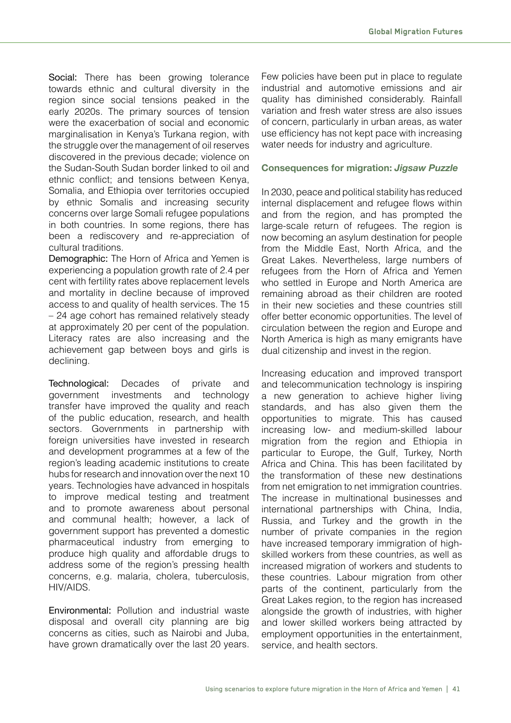Social: There has been growing tolerance towards ethnic and cultural diversity in the region since social tensions peaked in the early 2020s. The primary sources of tension were the exacerbation of social and economic marginalisation in Kenya's Turkana region, with the struggle over the management of oil reserves discovered in the previous decade; violence on the Sudan-South Sudan border linked to oil and ethnic conflict; and tensions between Kenya, Somalia, and Ethiopia over territories occupied by ethnic Somalis and increasing security concerns over large Somali refugee populations in both countries. In some regions, there has been a rediscovery and re-appreciation of cultural traditions.

Demographic: The Horn of Africa and Yemen is experiencing a population growth rate of 2.4 per cent with fertility rates above replacement levels and mortality in decline because of improved access to and quality of health services. The 15 – 24 age cohort has remained relatively steady at approximately 20 per cent of the population. Literacy rates are also increasing and the achievement gap between boys and girls is declining.

Technological: Decades of private and government investments and technology transfer have improved the quality and reach of the public education, research, and health sectors. Governments in partnership with foreign universities have invested in research and development programmes at a few of the region's leading academic institutions to create hubs for research and innovation over the next 10 years. Technologies have advanced in hospitals to improve medical testing and treatment and to promote awareness about personal and communal health; however, a lack of government support has prevented a domestic pharmaceutical industry from emerging to produce high quality and affordable drugs to address some of the region's pressing health concerns, e.g. malaria, cholera, tuberculosis, HIV/AIDS.

Environmental: Pollution and industrial waste disposal and overall city planning are big concerns as cities, such as Nairobi and Juba, have grown dramatically over the last 20 years.

Few policies have been put in place to regulate industrial and automotive emissions and air quality has diminished considerably. Rainfall variation and fresh water stress are also issues of concern, particularly in urban areas, as water use efficiency has not kept pace with increasing water needs for industry and agriculture.

#### **Consequences for migration:** *Jigsaw Puzzle*

In 2030, peace and political stability has reduced internal displacement and refugee flows within and from the region, and has prompted the large-scale return of refugees. The region is now becoming an asylum destination for people from the Middle East, North Africa, and the Great Lakes. Nevertheless, large numbers of refugees from the Horn of Africa and Yemen who settled in Europe and North America are remaining abroad as their children are rooted in their new societies and these countries still offer better economic opportunities. The level of circulation between the region and Europe and North America is high as many emigrants have dual citizenship and invest in the region.

Increasing education and improved transport and telecommunication technology is inspiring a new generation to achieve higher living standards, and has also given them the opportunities to migrate. This has caused increasing low- and medium-skilled labour migration from the region and Ethiopia in particular to Europe, the Gulf, Turkey, North Africa and China. This has been facilitated by the transformation of these new destinations from net emigration to net immigration countries. The increase in multinational businesses and international partnerships with China, India, Russia, and Turkey and the growth in the number of private companies in the region have increased temporary immigration of highskilled workers from these countries, as well as increased migration of workers and students to these countries. Labour migration from other parts of the continent, particularly from the Great Lakes region, to the region has increased alongside the growth of industries, with higher and lower skilled workers being attracted by employment opportunities in the entertainment, service, and health sectors.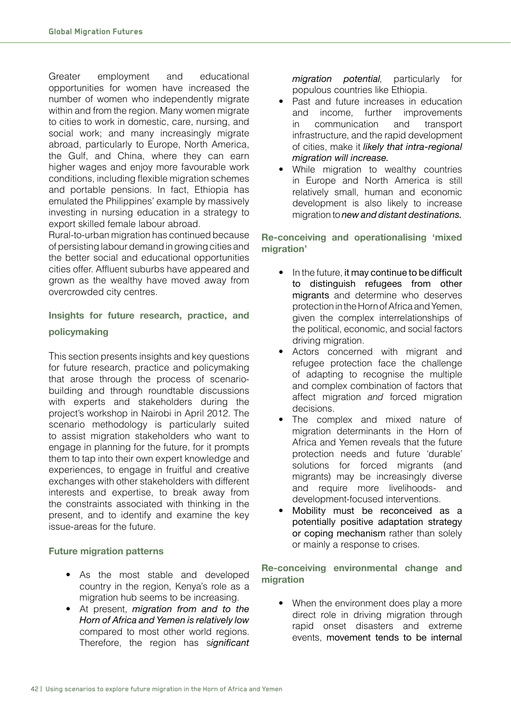Greater employment and educational opportunities for women have increased the number of women who independently migrate within and from the region. Many women migrate to cities to work in domestic, care, nursing, and social work; and many increasingly migrate abroad, particularly to Europe, North America, the Gulf, and China, where they can earn higher wages and enjoy more favourable work conditions, including flexible migration schemes and portable pensions. In fact, Ethiopia has emulated the Philippines' example by massively investing in nursing education in a strategy to export skilled female labour abroad.

Rural-to-urban migration has continued because of persisting labour demand in growing cities and the better social and educational opportunities cities offer. Affluent suburbs have appeared and grown as the wealthy have moved away from overcrowded city centres.

# **Insights for future research, practice, and policymaking**

This section presents insights and key questions for future research, practice and policymaking that arose through the process of scenariobuilding and through roundtable discussions with experts and stakeholders during the project's workshop in Nairobi in April 2012. The scenario methodology is particularly suited to assist migration stakeholders who want to engage in planning for the future, for it prompts them to tap into their own expert knowledge and experiences, to engage in fruitful and creative exchanges with other stakeholders with different interests and expertise, to break away from the constraints associated with thinking in the present, and to identify and examine the key issue-areas for the future.

#### **Future migration patterns**

- . As the most stable and developed country in the region, Kenya's role as a migration hub seems to be increasing.
- At present, *migration from and to the Horn of Africa and Yemen is relatively low*  compared to most other world regions. Therefore, the region has significant

*migration potential*, particularly for populous countries like Ethiopia.

- Past and future increases in education and income, further improvements in communication and transport infrastructure, and the rapid development of cities, make it *likely that intra-regional migration will increase.*
- . While migration to wealthy countries in Europe and North America is still relatively small, human and economic development is also likely to increase migration to *new and distant destinations.*

#### **Re-conceiving and operationalising 'mixed migration'**

- $\bullet$  In the future, it may continue to be difficult to distinguish refugees from other migrants and determine who deserves protection in the Horn of Africa and Yemen, given the complex interrelationships of the political, economic, and social factors driving migration.
- Actors concerned with migrant and refugee protection face the challenge of adapting to recognise the multiple and complex combination of factors that affect migration *and* forced migration decisions.
- . The complex and mixed nature of migration determinants in the Horn of Africa and Yemen reveals that the future protection needs and future 'durable' solutions for forced migrants (and migrants) may be increasingly diverse and require more livelihoods- and development-focused interventions.
- Mobility must be reconceived as a potentially positive adaptation strategy or coping mechanism rather than solely or mainly a response to crises.

#### **Re-conceiving environmental change and migration**

• When the environment does play a more direct role in driving migration through rapid onset disasters and extreme events, movement tends to be internal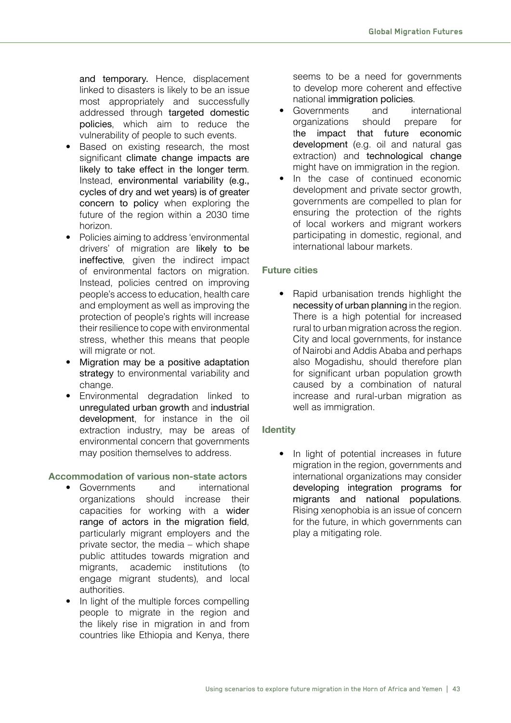and temporary. Hence, displacement linked to disasters is likely to be an issue most appropriately and successfully addressed through targeted domestic policies, which aim to reduce the vulnerability of people to such events.

- . Based on existing research, the most significant climate change impacts are likely to take effect in the longer term. Instead, environmental variability (e.g., cycles of dry and wet years) is of greater concern to policy when exploring the future of the region within a 2030 time horizon.
- Policies aiming to address 'environmental drivers' of migration are likely to be ineffective, given the indirect impact of environmental factors on migration. Instead, policies centred on improving people's access to education, health care and employment as well as improving the protection of people's rights will increase their resilience to cope with environmental stress, whether this means that people will migrate or not.
- Migration may be a positive adaptation strategy to environmental variability and change.
- . Environmental degradation linked to unregulated urban growth and industrial development, for instance in the oil extraction industry, may be areas of environmental concern that governments may position themselves to address.

#### **Accommodation of various non-state actors**

- Governments and international organizations should increase their capacities for working with a wider range of actors in the migration field, particularly migrant employers and the private sector, the media – which shape public attitudes towards migration and migrants, academic institutions (to engage migrant students), and local authorities.
- . In light of the multiple forces compelling people to migrate in the region and the likely rise in migration in and from countries like Ethiopia and Kenya, there

seems to be a need for governments to develop more coherent and effective national immigration policies.

- Governments and international organizations should prepare for the impact that future economic development (e.g. oil and natural gas extraction) and technological change might have on immigration in the region.
- . In the case of continued economic development and private sector growth, governments are compelled to plan for ensuring the protection of the rights of local workers and migrant workers participating in domestic, regional, and international labour markets.

#### **Future cities**

. Rapid urbanisation trends highlight the necessity of urban planning in the region. There is a high potential for increased rural to urban migration across the region. City and local governments, for instance of Nairobi and Addis Ababa and perhaps also Mogadishu, should therefore plan for significant urban population growth caused by a combination of natural increase and rural-urban migration as well as immigration.

#### **Identity**

. In light of potential increases in future migration in the region, governments and international organizations may consider developing integration programs for migrants and national populations. Rising xenophobia is an issue of concern for the future, in which governments can play a mitigating role.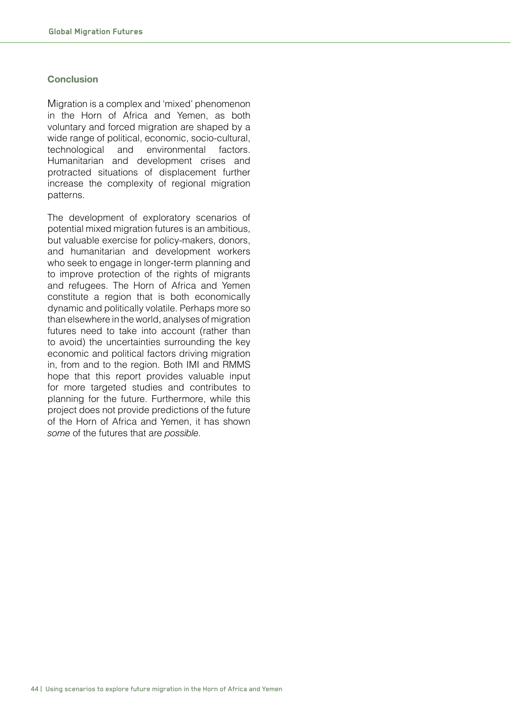#### **Conclusion**

Migration is a complex and 'mixed' phenomenon in the Horn of Africa and Yemen, as both voluntary and forced migration are shaped by a wide range of political, economic, socio-cultural, technological and environmental factors. Humanitarian and development crises and protracted situations of displacement further increase the complexity of regional migration patterns.

The development of exploratory scenarios of potential mixed migration futures is an ambitious, but valuable exercise for policy-makers, donors, and humanitarian and development workers who seek to engage in longer-term planning and to improve protection of the rights of migrants and refugees. The Horn of Africa and Yemen constitute a region that is both economically dynamic and politically volatile. Perhaps more so than elsewhere in the world, analyses of migration futures need to take into account (rather than to avoid) the uncertainties surrounding the key economic and political factors driving migration in, from and to the region. Both IMI and RMMS hope that this report provides valuable input for more targeted studies and contributes to planning for the future. Furthermore, while this project does not provide predictions of the future of the Horn of Africa and Yemen, it has shown *some* of the futures that are *possible*.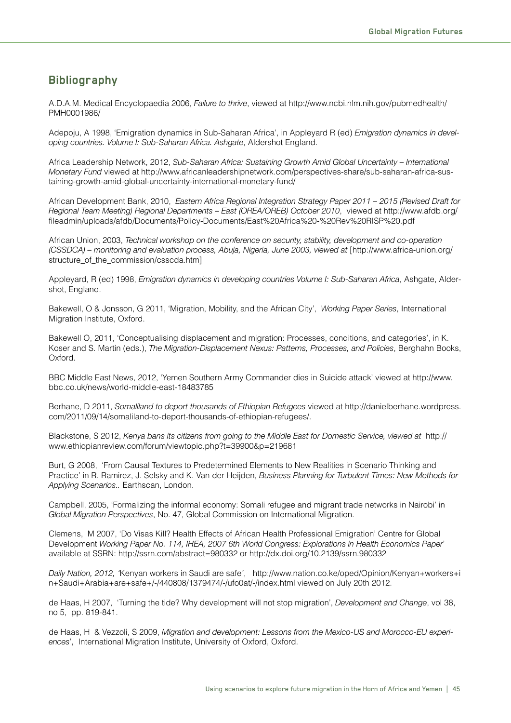## **Bibliography**

A.D.A.M. Medical Encyclopaedia 2006, *Failure to thrive*, viewed at http://www.ncbi.nlm.nih.gov/pubmedhealth/ PMH0001986/

Adepoju, A 1998, 'Emigration dynamics in Sub-Saharan Africa', in Appleyard R (ed) *Emigration dynamics in developing countries. Volume I: Sub-Saharan Africa. Ashgate, Aldershot England.* 

Africa Leadership Network, 2012, *Sub-Saharan Africa: Sustaining Growth Amid Global Uncertainty - International ?/2(1&)C+Q423+*viewed at http://www.africanleadershipnetwork.com/perspectives-share/sub-saharan-africa-sustaining-growth-amid-global-uncertainty-international-monetary-fund/

African Development Bank, 2010, *Eastern Africa Regional Integration Strategy Paper 2011 - 2015 (Revised Draft for Regional Team Meeting) Regional Departments - East (OREA/OREB) October 2010*, viewed at http://www.afdb.org/ fileadmin/uploads/afdb/Documents/Policy-Documents/East%20Africa%20-%20Rev%20RISP%20.pdf

African Union, 2003, *Technical workshop on the conference on security, stability, development and co-operation (CSSDCA) – monitoring and evaluation process, Abuja, Nigeria, June 2003, viewed at [http://www.africa-union.org/* structure of the commission/csscda.htm]

Appleyard, R (ed) 1998, *Emigration dynamics in developing countries Volume I: Sub-Saharan Africa*, Ashgate, Aldershot, England.

Bakewell, O & Jonsson, G 2011, 'Migration, Mobility, and the African City', *Working Paper Series*, International Migration Institute, Oxford.

Bakewell O, 2011, 'Conceptualising displacement and migration: Processes, conditions, and categories', in K. Koser and S. Martin (eds.), *The Migration-Displacement Nexus: Patterns, Processes, and Policies*, Berghahn Books, Oxford.

BBC Middle East News, 2012, 'Yemen Southern Army Commander dies in Suicide attack' viewed at http://www. bbc.co.uk/news/world-middle-east-18483785

Berhane, D 2011, Somaliland to deport thousands of Ethiopian Refugees viewed at http://danielberhane.wordpress. com/2011/09/14/somaliland-to-deport-thousands-of-ethiopian-refugees/.

Blackstone, S 2012, *Kenya bans its citizens from going to the Middle East for Domestic Service, viewed at http://* www.ethiopianreview.com/forum/viewtopic.php?t=39900&p=219681

Burt, G 2008, 'From Causal Textures to Predetermined Elements to New Realities in Scenario Thinking and Practice' in R. Ramirez, J. Selsky and K. Van der Heijden, *Business Planning for Turbulent Times: New Methods for* Applying Scenarios.. Earthscan, London.

Campbell, 2005, 'Formalizing the informal economy: Somali refugee and migrant trade networks in Nairobi' in Global Migration Perspectives, No. 47, Global Commission on International Migration.

Clemens, M 2007, 'Do Visas Kill? Health Effects of African Health Professional Emigration' Centre for Global Development Working Paper No. 114, IHEA, 2007 6th World Congress: Explorations in Health Economics Paper' available at SSRN: http://ssrn.com/abstract=980332 or http://dx.doi.org/10.2139/ssrn.980332

*!&"%C+G&1"/2Y+STUSY+c*Kenyan workers in Saudi are safe*'*, http://www.nation.co.ke/oped/Opinion/Kenyan+workers+i n+Saudi+Arabia+are+safe+/-/440808/1379474/-/ufo0at/-/index.html viewed on July 20th 2012.

de Haas, H 2007, 'Turning the tide? Why development will not stop migration', *Development and Change*, vol 38, no 5, pp. 819-841.

de Haas, H & Vezzoli, S 2009, *Migration and development: Lessons from the Mexico-US and Morocco-EU experiences*', International Migration Institute, University of Oxford, Oxford.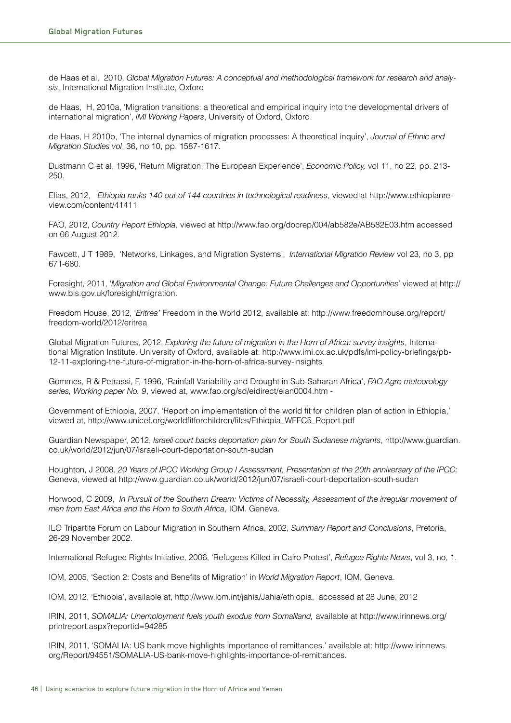de Haas et al, 2010, *Global Migration Futures: A conceptual and methodological framework for research and analysis*, International Migration Institute, Oxford

de Haas, H, 2010a, 'Migration transitions: a theoretical and empirical inquiry into the developmental drivers of international migration', *IMI Working Papers*, University of Oxford, Oxford.

de Haas, H 2010b, 'The internal dynamics of migration processes: A theoretical inquiry', *Journal of Ethnic and Migration Studies vol, 36, no 10, pp. 1587-1617.* 

Dustmann C et al, 1996, 'Return Migration: The European Experience', *Economic Policy*, vol 11, no 22, pp. 213-250.

Elias, 2012, Ethiopia ranks 140 out of 144 countries in technological readiness, viewed at http://www.ethiopianreview.com/content/41411

FAO, 2012, *Country Report Ethiopia*, viewed at http://www.fao.org/docrep/004/ab582e/AB582E03.htm accessed on 06 August 2012.

Fawcett, J T 1989, 'Networks, Linkages, and Migration Systems', *International Migration Review vol 23*, no 3, pp 671-680.

Foresight, 2011, '*Migration and Global Environmental Change: Future Challenges and Opportunities'* viewed at http:// www.bis.gov.uk/foresight/migration.

Freedom House, 2012, '*Eritrea'* Freedom in the World 2012, available at: http://www.freedomhouse.org/report/ freedom-world/2012/eritrea

Global Migration Futures, 2012, *Exploring the future of migration in the Horn of Africa: survey insights*, International Migration Institute. University of Oxford, available at: http://www.imi.ox.ac.uk/pdfs/imi-policy-briefings/pb-12-11-exploring-the-future-of-migration-in-the-horn-of-africa-survey-insights

Gommes, R & Petrassi, F, 1996, 'Rainfall Variability and Drought in Sub-Saharan Africa', *FAO Agro meteorology* series, Working paper No. 9, viewed at, www.fao.org/sd/eidirect/eian0004.htm -

Government of Ethiopia, 2007, 'Report on implementation of the world fit for children plan of action in Ethiopia,' viewed at, http://www.unicef.org/worldfitforchildren/files/Ethiopia\_WFFC5\_Report.pdf

Guardian Newspaper, 2012, *Israeli court backs deportation plan for South Sudanese migrants*, http://www.guardian. co.uk/world/2012/jun/07/israeli-court-deportation-south-sudan

Houghton, J 2008, 20 Years of IPCC Working Group I Assessment, Presentation at the 20th anniversary of the IPCC: Geneva, viewed at http://www.guardian.co.uk/world/2012/jun/07/israeli-court-deportation-south-sudan

Horwood, C 2009, In Pursuit of the Southern Dream: Victims of Necessity, Assessment of the irregular movement of *men from East Africa and the Horn to South Africa, IOM. Geneva.* 

ILO Tripartite Forum on Labour Migration in Southern Africa, 2002, Summary Report and Conclusions, Pretoria, 26-29 November 2002.

International Refugee Rights Initiative, 2006, 'Refugees Killed in Cairo Protest', *Refugee Rights News*, vol 3, no, 1.

IOM, 2005, 'Section 2: Costs and Benefits of Migration' in *World Migration Report*, IOM, Geneva.

IOM, 2012, 'Ethiopia', available at, http://www.iom.int/jahia/Jahia/ethiopia, accessed at 28 June, 2012

IRIN, 2011, *SOMALIA: Unemployment fuels youth exodus from Somaliland, available at http://www.irinnews.org/* printreport.aspx?reportid=94285

IRIN, 2011, 'SOMALIA: US bank move highlights importance of remittances.' available at: http://www.irinnews. org/Report/94551/SOMALIA-US-bank-move-highlights-importance-of-remittances.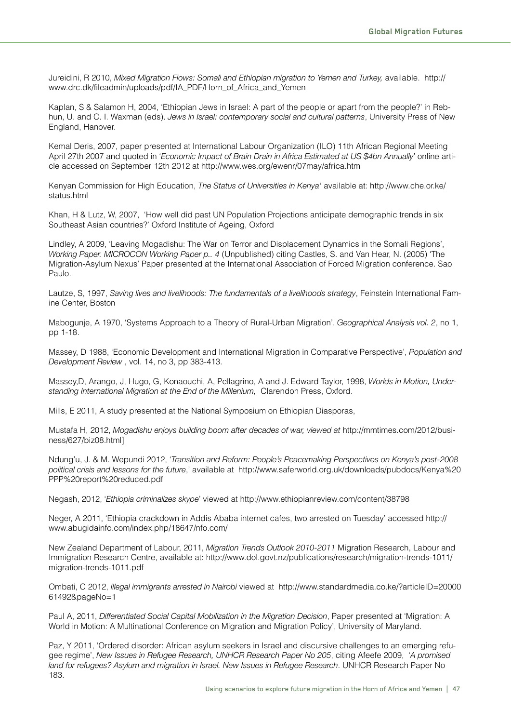Jureidini, R 2010, *Mixed Migration Flows: Somali and Ethiopian migration to Yemen and Turkey, available.* http:// www.drc.dk/fileadmin/uploads/pdf/IA\_PDF/Horn\_of\_Africa\_and\_Yemen

Kaplan, S & Salamon H, 2004, 'Ethiopian Jews in Israel: A part of the people or apart from the people?' in Rebhun, U. and C. I. Waxman (eds). *Jews in Israel: contemporary social and cultural patterns*, University Press of New England, Hanover.

Kemal Deris, 2007, paper presented at International Labour Organization (ILO) 11th African Regional Meeting April 27th 2007 and quoted in '*Economic Impact of Brain Drain in Africa Estimated at US \$4bn Annually*' online article accessed on September 12th 2012 at http://www.wes.org/ewenr/07may/africa.htm

Kenyan Commission for High Education, *The Status of Universities in Kenya'* available at: http://www.che.or.ke/ status.html

Khan, H & Lutz, W, 2007, 'How well did past UN Population Projections anticipate demographic trends in six Southeast Asian countries?' Oxford Institute of Ageing, Oxford

Lindley, A 2009, 'Leaving Mogadishu: The War on Terror and Displacement Dynamics in the Somali Regions', *Working Paper. MICROCON Working Paper p.. 4 (Unpublished) citing Castles, S. and Van Hear, N. (2005) 'The* Migration-Asylum Nexus' Paper presented at the International Association of Forced Migration conference. Sao Paulo.

Lautze, S, 1997, Saving lives and livelihoods: The fundamentals of a livelihoods strategy, Feinstein International Famine Center, Boston

Mabogunje, A 1970, 'Systems Approach to a Theory of Rural-Urban Migration'. *Geographical Analysis vol. 2*, no 1, pp 1-18.

Massey, D 1988, 'Economic Development and International Migration in Comparative Perspective', *Population and Development Review, vol.* 14, no 3, pp 383-413.

Massey,D, Arango, J, Hugo, G, Konaouchi, A, Pellagrino, A and J. Edward Taylor, 1998, *Worlds in Motion, Under*standing International Migration at the End of the Millenium, Clarendon Press, Oxford.

Mills, E 2011, A study presented at the National Symposium on Ethiopian Diasporas,

Mustafa H, 2012, *Mogadishu enjoys building boom after decades of war, viewed at http://mmtimes.com/2012/busi*ness/627/biz08.html]

Ndung'u, J. & M. Wepundi 2012, '*Transition and Reform: People's Peacemaking Perspectives on Kenya's post-2008* political crisis and lessons for the future,' available at http://www.saferworld.org.uk/downloads/pubdocs/Kenya%20 PPP%20report%20reduced.pdf

Negash, 2012, '*Ethiopia criminalizes skype'* viewed at http://www.ethiopianreview.com/content/38798

Neger, A 2011, 'Ethiopia crackdown in Addis Ababa internet cafes, two arrested on Tuesday' accessed http:// www.abugidainfo.com/index.php/18647/nfo.com/

New Zealand Department of Labour, 2011, *Migration Trends Outlook 2010-2011* Migration Research, Labour and Immigration Research Centre, available at: http://www.dol.govt.nz/publications/research/migration-trends-1011/ migration-trends-1011.pdf

Ombati, C 2012, *Illegal immigrants arrested in Nairobi* viewed at http://www.standardmedia.co.ke/?articleID=20000 61492&pageNo=1

Paul A, 2011, *Differentiated Social Capital Mobilization in the Migration Decision*, Paper presented at 'Migration: A World in Motion: A Multinational Conference on Migration and Migration Policy', University of Maryland.

Paz, Y 2011, 'Ordered disorder: African asylum seekers in Israel and discursive challenges to an emerging refugee regime', *New Issues in Refugee Research, UNHCR Research Paper No 205*, citing Afeefe 2009, 'A promised land for refugees? Asylum and migration in Israel. New Issues in Refugee Research. UNHCR Research Paper No 183.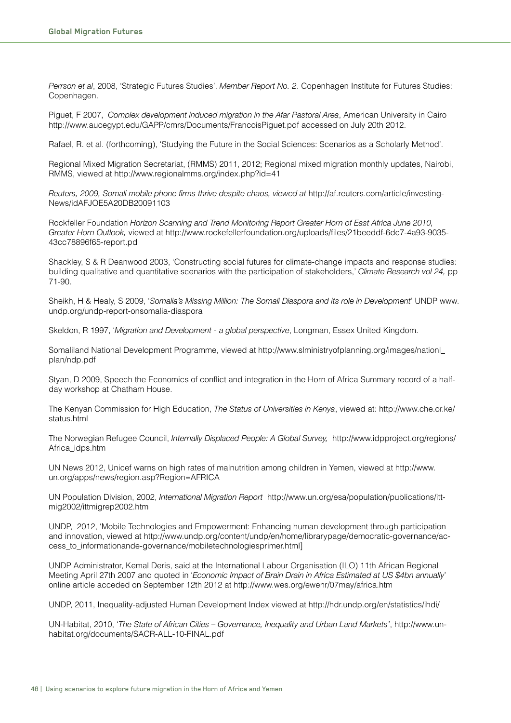*Perrson et al, 2008, 'Strategic Futures Studies'. Member Report No. 2. Copenhagen Institute for Futures Studies:* Copenhagen.

Piguet, F 2007, *Complex development induced migration in the Afar Pastoral Area*, American University in Cairo http://www.aucegypt.edu/GAPP/cmrs/Documents/FrancoisPiguet.pdf accessed on July 20th 2012.

Rafael, R. et al. (forthcoming), 'Studying the Future in the Social Sciences: Scenarios as a Scholarly Method'.

Regional Mixed Migration Secretariat, (RMMS) 2011, 2012; Regional mixed migration monthly updates, Nairobi, RMMS, viewed at http://www.regionalmms.org/index.php?id=41

*Reuters, 2009, Somali mobile phone firms thrive despite chaos, viewed at http://af.reuters.com/article/investing-*News/idAFJOE5A20DB20091103

Rockfeller Foundation *Horizon Scanning and Trend Monitoring Report Greater Horn of East Africa June 2010*, *;)(&1()+`/)2+=41%//XY* viewed at http://www.rockefellerfoundation.org/uploads/files/21beeddf-6dc7-4a93-9035- 43cc78896f65-report.pd

Shackley, S & R Deanwood 2003, 'Constructing social futures for climate-change impacts and response studies: building qualitative and quantitative scenarios with the participation of stakeholders,' *Climate Research vol 24*, pp 71-90.

Sheikh, H & Healy, S 2009, *'Somalia's Missing Million: The Somali Diaspora and its role in Development'* UNDP www. undp.org/undp-report-onsomalia-diaspora

Skeldon, R 1997, '*Migration and Development - a global perspective*, Longman, Essex United Kingdom.

Somaliland National Development Programme, viewed at http://www.slministryofplanning.org/images/nationl\_ plan/ndp.pdf

Styan, D 2009, Speech the Economics of conflict and integration in the Horn of Africa Summary record of a halfday workshop at Chatham House.

The Kenyan Commission for High Education, *The Status of Universities in Kenya*, viewed at: http://www.che.or.ke/ status.html

The Norwegian Refugee Council, *Internally Displaced People: A Global Survey*, http://www.idpproject.org/regions/ Africa\_idps.htm

UN News 2012, Unicef warns on high rates of malnutrition among children in Yemen, viewed at http://www. un.org/apps/news/region.asp?Region=AFRICA

UN Population Division, 2002, *International Migration Report* http://www.un.org/esa/population/publications/ittmig2002/ittmigrep2002.htm

UNDP, 2012, 'Mobile Technologies and Empowerment: Enhancing human development through participation and innovation, viewed at http://www.undp.org/content/undp/en/home/librarypage/democratic-governance/access\_to\_informationande-governance/mobiletechnologiesprimer.html]

UNDP Administrator, Kemal Deris, said at the International Labour Organisation (ILO) 11th African Regional Meeting April 27th 2007 and quoted in '*Economic Impact of Brain Drain in Africa Estimated at US* \$4bn annually' online article acceded on September 12th 2012 at http://www.wes.org/ewenr/07may/africa.htm

UNDP, 2011, Inequality-adjusted Human Development Index viewed at http://hdr.undp.org/en/statistics/ihdi/

UN-Habitat, 2010, '*The State of African Cities - Governance, Inequality and Urban Land Markets'*, http://www.unhabitat.org/documents/SACR-ALL-10-FINAL.pdf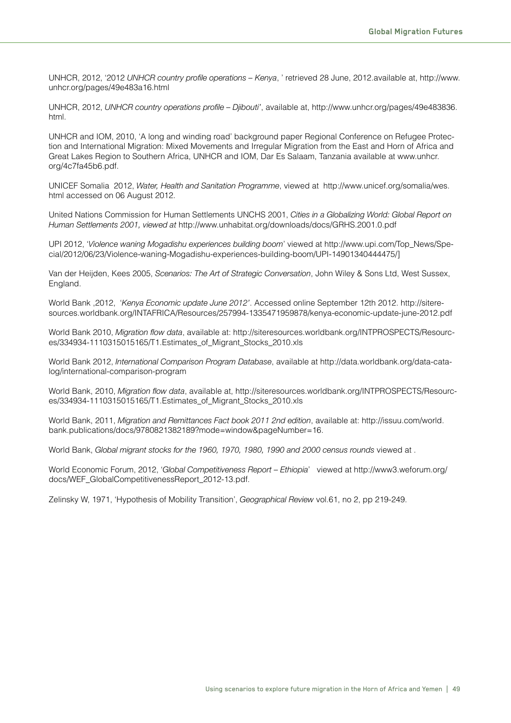UNHCR, 2012, '2012 *UNHCR country profile operations – Kenya, '* retrieved 28 June, 2012.available at, http://www. unhcr.org/pages/49e483a16.html

UNHCR, 2012, UNHCR country operations profile - Djibouti', available at, http://www.unhcr.org/pages/49e483836. html.

UNHCR and IOM, 2010, 'A long and winding road' background paper Regional Conference on Refugee Protection and International Migration: Mixed Movements and Irregular Migration from the East and Horn of Africa and Great Lakes Region to Southern Africa, UNHCR and IOM, Dar Es Salaam, Tanzania available at www.unhcr. org/4c7fa45b6.pdf.

UNICEF Somalia 2012, *Water, Health and Sanitation Programme*, viewed at http://www.unicef.org/somalia/wes. html accessed on 06 August 2012.

United Nations Commission for Human Settlements UNCHS 2001, *Cities in a Globalizing World: Global Report on `4'&2+F(11%('(21#+STTUY+7"(6(3+&1+*http://www.unhabitat.org/downloads/docs/GRHS.2001.0.pdf

UPI 2012, 'Violence waning Mogadishu experiences building boom' viewed at http://www.upi.com/Top\_News/Special/2012/06/23/Violence-waning-Mogadishu-experiences-building-boom/UPI-14901340444475/]

Van der Heijden, Kees 2005, *Scenarios: The Art of Strategic Conversation*, John Wiley & Sons Ltd, West Sussex, England.

World Bank ,2012, 'Kenya Economic update June 2012'. Accessed online September 12th 2012. http://siteresources.worldbank.org/INTAFRICA/Resources/257994-1335471959878/kenya-economic-update-june-2012.pdf

World Bank 2010, *Migration flow data*, available at: http://siteresources.worldbank.org/INTPROSPECTS/Resources/334934-1110315015165/T1.Estimates\_of\_Migrant\_Stocks\_2010.xls

World Bank 2012, *International Comparison Program Database*, available at http://data.worldbank.org/data-catalog/international-comparison-program

World Bank, 2010, *Migration flow data*, available at, http://siteresources.worldbank.org/INTPROSPECTS/Resources/334934-1110315015165/T1.Estimates\_of\_Migrant\_Stocks\_2010.xls

World Bank, 2011, *Migration and Remittances Fact book 2011 2nd edition*, available at: http://issuu.com/world. bank.publications/docs/9780821382189?mode=window&pageNumber=16.

World Bank, *Global migrant stocks for the 1960, 1970, 1980, 1990 and 2000 census rounds viewed at .* 

World Economic Forum, 2012, '*Global Competitiveness Report - Ethiopia*' viewed at http://www3.weforum.org/ docs/WEF\_GlobalCompetitivenessReport\_2012-13.pdf.

Zelinsky W, 1971, 'Hypothesis of Mobility Transition', *Geographical Review* vol.61, no 2, pp 219-249.